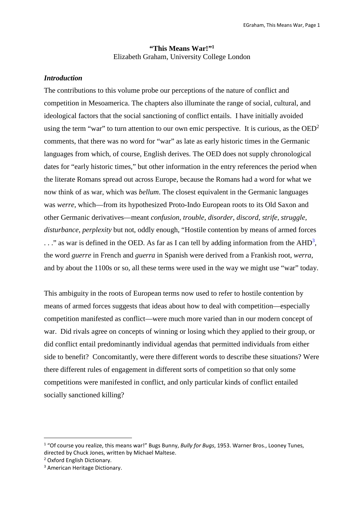## **"This Means War!"<sup>1</sup>** Elizabeth Graham, University College London

## *Introduction*

The contributions to this volume probe our perceptions of the nature of conflict and competition in Mesoamerica. The chapters also illuminate the range of social, cultural, and ideological factors that the social sanctioning of conflict entails. I have initially avoided using the term "war" to turn attention to our own emic perspective. It is curious, as the  $OED<sup>2</sup>$ comments, that there was no word for "war" as late as early historic times in the Germanic languages from which, of course, English derives. The OED does not supply chronological dates for "early historic times," but other information in the entry references the period when the literate Romans spread out across Europe, because the Romans had a word for what we now think of as war, which was *bellum*. The closest equivalent in the Germanic languages was *werre,* which—from its hypothesized Proto-Indo European roots to its Old Saxon and other Germanic derivatives—meant *confusion, trouble, disorder, discord, strife, struggle, disturbance, perplexity* but not, oddly enough, "Hostile contention by means of armed forces  $\ldots$ " as war is defined in the OED. As far as I can tell by adding information from the AHD<sup>3</sup>, the word *guerre* in French and *guerra* in Spanish were derived from a Frankish root, *werra*, and by about the 1100s or so, all these terms were used in the way we might use "war" today.

This ambiguity in the roots of European terms now used to refer to hostile contention by means of armed forces suggests that ideas about how to deal with competition—especially competition manifested as conflict—were much more varied than in our modern concept of war. Did rivals agree on concepts of winning or losing which they applied to their group, or did conflict entail predominantly individual agendas that permitted individuals from either side to benefit? Concomitantly, were there different words to describe these situations? Were there different rules of engagement in different sorts of competition so that only some competitions were manifested in conflict, and only particular kinds of conflict entailed socially sanctioned killing?

1

<sup>&</sup>lt;sup>1</sup> "Of course you realize, this means war!" Bugs Bunny, *Bully for Bugs*, 1953. Warner Bros., Looney Tunes, directed by Chuck Jones, written by Michael Maltese.

<sup>&</sup>lt;sup>2</sup> Oxford English Dictionary.

<sup>3</sup> American Heritage Dictionary.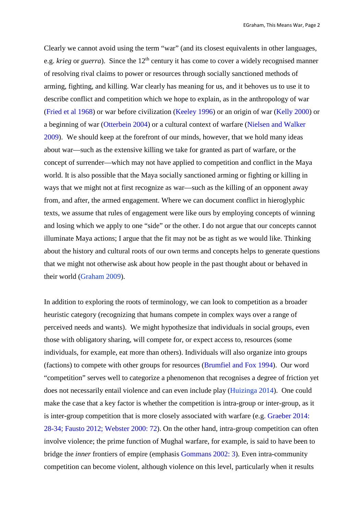Clearly we cannot avoid using the term "war" (and its closest equivalents in other languages, e.g. *krieg* or *guerra*). Since the 12<sup>th</sup> century it has come to cover a widely recognised manner of resolving rival claims to power or resources through socially sanctioned methods of arming, fighting, and killing. War clearly has meaning for us, and it behoves us to use it to describe conflict and competition which we hope to explain, as in the anthropology of war (Fried et al 1968) or war before civilization (Keeley 1996) or an origin of war (Kelly 2000) or a beginning of war (Otterbein 2004) or a cultural context of warfare (Nielsen and Walker 2009). We should keep at the forefront of our minds, however, that we hold many ideas about war—such as the extensive killing we take for granted as part of warfare, or the concept of surrender—which may not have applied to competition and conflict in the Maya world. It is also possible that the Maya socially sanctioned arming or fighting or killing in ways that we might not at first recognize as war—such as the killing of an opponent away from, and after, the armed engagement. Where we can document conflict in hieroglyphic texts, we assume that rules of engagement were like ours by employing concepts of winning and losing which we apply to one "side" or the other. I do not argue that our concepts cannot illuminate Maya actions; I argue that the fit may not be as tight as we would like. Thinking about the history and cultural roots of our own terms and concepts helps to generate questions that we might not otherwise ask about how people in the past thought about or behaved in their world (Graham 2009).

In addition to exploring the roots of terminology, we can look to competition as a broader heuristic category (recognizing that humans compete in complex ways over a range of perceived needs and wants). We might hypothesize that individuals in social groups, even those with obligatory sharing, will compete for, or expect access to, resources (some individuals, for example, eat more than others). Individuals will also organize into groups (factions) to compete with other groups for resources (Brumfiel and Fox 1994). Our word "competition" serves well to categorize a phenomenon that recognises a degree of friction yet does not necessarily entail violence and can even include play (Huizinga 2014). One could make the case that a key factor is whether the competition is intra-group or inter-group, as it is inter-group competition that is more closely associated with warfare (e.g. Graeber 2014: 28-34; Fausto 2012; Webster 2000: 72). On the other hand, intra-group competition can often involve violence; the prime function of Mughal warfare, for example, is said to have been to bridge the *inner* frontiers of empire (emphasis Gommans 2002: 3). Even intra-community competition can become violent, although violence on this level, particularly when it results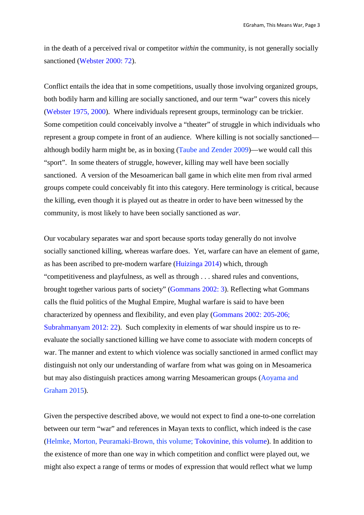in the death of a perceived rival or competitor *within* the community, is not generally socially sanctioned (Webster 2000: 72).

Conflict entails the idea that in some competitions, usually those involving organized groups, both bodily harm and killing are socially sanctioned, and our term "war" covers this nicely (Webster 1975, 2000). Where individuals represent groups, terminology can be trickier. Some competition could conceivably involve a "theater" of struggle in which individuals who represent a group compete in front of an audience. Where killing is not socially sanctioned although bodily harm might be, as in boxing (Taube and Zender 2009)—we would call this "sport". In some theaters of struggle, however, killing may well have been socially sanctioned. A version of the Mesoamerican ball game in which elite men from rival armed groups compete could conceivably fit into this category. Here terminology is critical, because the killing, even though it is played out as theatre in order to have been witnessed by the community, is most likely to have been socially sanctioned as *war*.

Our vocabulary separates war and sport because sports today generally do not involve socially sanctioned killing, whereas warfare does. Yet, warfare can have an element of game, as has been ascribed to pre-modern warfare (Huizinga 2014) which, through "competitiveness and playfulness, as well as through . . . shared rules and conventions, brought together various parts of society" (Gommans 2002: 3). Reflecting what Gommans calls the fluid politics of the Mughal Empire, Mughal warfare is said to have been characterized by openness and flexibility, and even play (Gommans 2002: 205-206; Subrahmanyam 2012: 22). Such complexity in elements of war should inspire us to reevaluate the socially sanctioned killing we have come to associate with modern concepts of war. The manner and extent to which violence was socially sanctioned in armed conflict may distinguish not only our understanding of warfare from what was going on in Mesoamerica but may also distinguish practices among warring Mesoamerican groups (Aoyama and Graham 2015).

Given the perspective described above, we would not expect to find a one-to-one correlation between our term "war" and references in Mayan texts to conflict, which indeed is the case (Helmke, Morton, Peuramaki-Brown, this volume; Tokovinine, this volume). In addition to the existence of more than one way in which competition and conflict were played out, we might also expect a range of terms or modes of expression that would reflect what we lump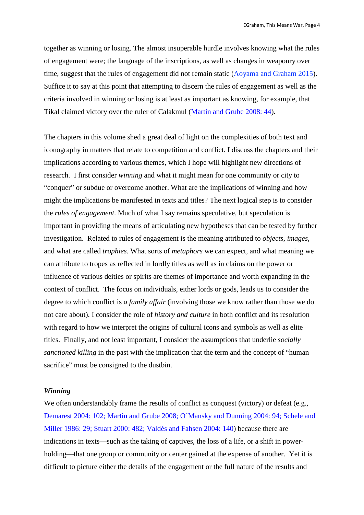together as winning or losing. The almost insuperable hurdle involves knowing what the rules of engagement were; the language of the inscriptions, as well as changes in weaponry over time, suggest that the rules of engagement did not remain static (Aoyama and Graham 2015). Suffice it to say at this point that attempting to discern the rules of engagement as well as the criteria involved in winning or losing is at least as important as knowing, for example, that Tikal claimed victory over the ruler of Calakmul (Martin and Grube 2008: 44).

The chapters in this volume shed a great deal of light on the complexities of both text and iconography in matters that relate to competition and conflict. I discuss the chapters and their implications according to various themes, which I hope will highlight new directions of research. I first consider *winning* and what it might mean for one community or city to "conquer" or subdue or overcome another. What are the implications of winning and how might the implications be manifested in texts and titles? The next logical step is to consider the *rules of engagement*. Much of what I say remains speculative, but speculation is important in providing the means of articulating new hypotheses that can be tested by further investigation. Related to rules of engagement is the meaning attributed to *objects, images*, and what are called *trophies*. What sorts of *metaphors* we can expect, and what meaning we can attribute to tropes as reflected in lordly titles as well as in claims on the power or influence of various deities or spirits are themes of importance and worth expanding in the context of conflict. The focus on individuals, either lords or gods, leads us to consider the degree to which conflict is *a family affair* (involving those we know rather than those we do not care about). I consider the role of *history and culture* in both conflict and its resolution with regard to how we interpret the origins of cultural icons and symbols as well as elite titles. Finally, and not least important, I consider the assumptions that underlie *socially sanctioned killing* in the past with the implication that the term and the concept of "human sacrifice" must be consigned to the dustbin.

#### *Winning*

We often understandably frame the results of conflict as conquest (victory) or defeat (e.g., Demarest 2004: 102; Martin and Grube 2008; O'Mansky and Dunning 2004: 94; Schele and Miller 1986: 29; Stuart 2000: 482; Valdés and Fahsen 2004: 140) because there are indications in texts—such as the taking of captives, the loss of a life, or a shift in powerholding—that one group or community or center gained at the expense of another. Yet it is difficult to picture either the details of the engagement or the full nature of the results and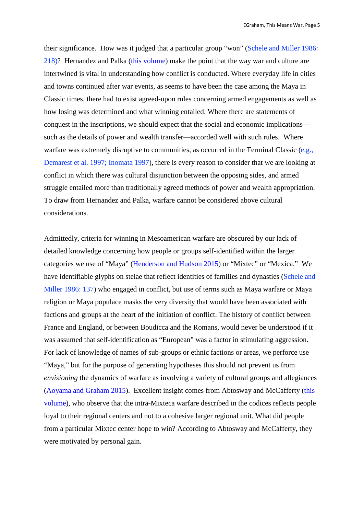their significance. How was it judged that a particular group "won" (Schele and Miller 1986: 218)? Hernandez and Palka (this volume) make the point that the way war and culture are intertwined is vital in understanding how conflict is conducted. Where everyday life in cities and towns continued after war events, as seems to have been the case among the Maya in Classic times, there had to exist agreed-upon rules concerning armed engagements as well as how losing was determined and what winning entailed. Where there are statements of conquest in the inscriptions, we should expect that the social and economic implications such as the details of power and wealth transfer—accorded well with such rules. Where warfare was extremely disruptive to communities, as occurred in the Terminal Classic (e.g., Demarest et al. 1997; Inomata 1997), there is every reason to consider that we are looking at conflict in which there was cultural disjunction between the opposing sides, and armed struggle entailed more than traditionally agreed methods of power and wealth appropriation. To draw from Hernandez and Palka, warfare cannot be considered above cultural considerations.

Admittedly, criteria for winning in Mesoamerican warfare are obscured by our lack of detailed knowledge concerning how people or groups self-identified within the larger categories we use of "Maya" (Henderson and Hudson 2015) or "Mixtec" or "Mexica." We have identifiable glyphs on stelae that reflect identities of families and dynasties (Schele and Miller 1986: 137) who engaged in conflict, but use of terms such as Maya warfare or Maya religion or Maya populace masks the very diversity that would have been associated with factions and groups at the heart of the initiation of conflict. The history of conflict between France and England, or between Boudicca and the Romans, would never be understood if it was assumed that self-identification as "European" was a factor in stimulating aggression. For lack of knowledge of names of sub-groups or ethnic factions or areas, we perforce use "Maya," but for the purpose of generating hypotheses this should not prevent us from *envisioning* the dynamics of warfare as involving a variety of cultural groups and allegiances (Aoyama and Graham 2015). Excellent insight comes from Abtosway and McCafferty (this volume), who observe that the intra-Mixteca warfare described in the codices reflects people loyal to their regional centers and not to a cohesive larger regional unit. What did people from a particular Mixtec center hope to win? According to Abtosway and McCafferty, they were motivated by personal gain.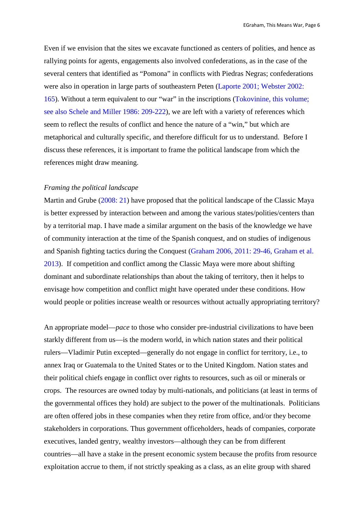Even if we envision that the sites we excavate functioned as centers of polities, and hence as rallying points for agents, engagements also involved confederations, as in the case of the several centers that identified as "Pomona" in conflicts with Piedras Negras; confederations were also in operation in large parts of southeastern Peten (Laporte 2001; Webster 2002: 165). Without a term equivalent to our "war" in the inscriptions (Tokovinine, this volume; see also Schele and Miller 1986: 209-222), we are left with a variety of references which seem to reflect the results of conflict and hence the nature of a "win," but which are metaphorical and culturally specific, and therefore difficult for us to understand. Before I discuss these references, it is important to frame the political landscape from which the references might draw meaning.

#### *Framing the political landscape*

Martin and Grube (2008: 21) have proposed that the political landscape of the Classic Maya is better expressed by interaction between and among the various states/polities/centers than by a territorial map. I have made a similar argument on the basis of the knowledge we have of community interaction at the time of the Spanish conquest, and on studies of indigenous and Spanish fighting tactics during the Conquest (Graham 2006, 2011: 29-46, Graham et al. 2013). If competition and conflict among the Classic Maya were more about shifting dominant and subordinate relationships than about the taking of territory, then it helps to envisage how competition and conflict might have operated under these conditions. How would people or polities increase wealth or resources without actually appropriating territory?

An appropriate model—*pace* to those who consider pre-industrial civilizations to have been starkly different from us—is the modern world, in which nation states and their political rulers—Vladimir Putin excepted—generally do not engage in conflict for territory, i.e., to annex Iraq or Guatemala to the United States or to the United Kingdom. Nation states and their political chiefs engage in conflict over rights to resources, such as oil or minerals or crops. The resources are owned today by multi-nationals, and politicians (at least in terms of the governmental offices they hold) are subject to the power of the multinationals. Politicians are often offered jobs in these companies when they retire from office, and/or they become stakeholders in corporations. Thus government officeholders, heads of companies, corporate executives, landed gentry, wealthy investors—although they can be from different countries—all have a stake in the present economic system because the profits from resource exploitation accrue to them, if not strictly speaking as a class, as an elite group with shared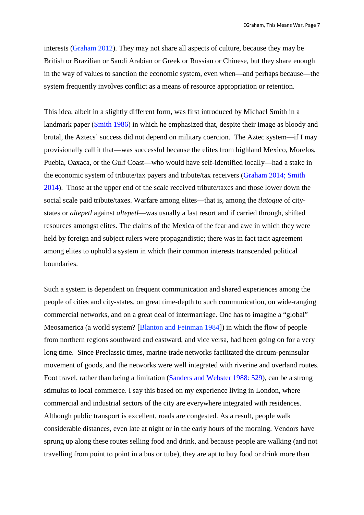interests (Graham 2012). They may not share all aspects of culture, because they may be British or Brazilian or Saudi Arabian or Greek or Russian or Chinese, but they share enough in the way of values to sanction the economic system, even when—and perhaps because—the system frequently involves conflict as a means of resource appropriation or retention.

This idea, albeit in a slightly different form, was first introduced by Michael Smith in a landmark paper (Smith 1986) in which he emphasized that, despite their image as bloody and brutal, the Aztecs' success did not depend on military coercion. The Aztec system—if I may provisionally call it that—was successful because the elites from highland Mexico, Morelos, Puebla, Oaxaca, or the Gulf Coast—who would have self-identified locally—had a stake in the economic system of tribute/tax payers and tribute/tax receivers (Graham 2014; Smith 2014). Those at the upper end of the scale received tribute/taxes and those lower down the social scale paid tribute/taxes. Warfare among elites—that is, among the *tlatoque* of citystates or *altepetl* against *altepetl*—was usually a last resort and if carried through, shifted resources amongst elites. The claims of the Mexica of the fear and awe in which they were held by foreign and subject rulers were propagandistic; there was in fact tacit agreement among elites to uphold a system in which their common interests transcended political boundaries.

Such a system is dependent on frequent communication and shared experiences among the people of cities and city-states, on great time-depth to such communication, on wide-ranging commercial networks, and on a great deal of intermarriage. One has to imagine a "global" Meosamerica (a world system? [Blanton and Feinman 1984]) in which the flow of people from northern regions southward and eastward, and vice versa, had been going on for a very long time. Since Preclassic times, marine trade networks facilitated the circum-peninsular movement of goods, and the networks were well integrated with riverine and overland routes. Foot travel, rather than being a limitation (Sanders and Webster 1988: 529), can be a strong stimulus to local commerce. I say this based on my experience living in London, where commercial and industrial sectors of the city are everywhere integrated with residences. Although public transport is excellent, roads are congested. As a result, people walk considerable distances, even late at night or in the early hours of the morning. Vendors have sprung up along these routes selling food and drink, and because people are walking (and not travelling from point to point in a bus or tube), they are apt to buy food or drink more than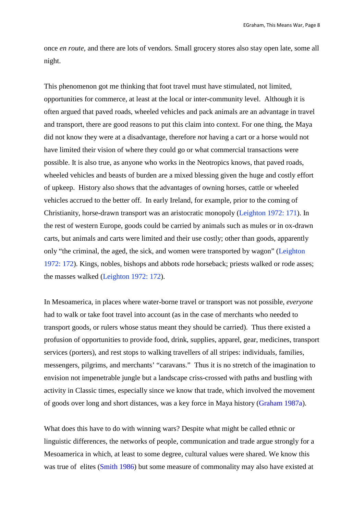once *en route,* and there are lots of vendors. Small grocery stores also stay open late, some all night.

This phenomenon got me thinking that foot travel must have stimulated, not limited, opportunities for commerce, at least at the local or inter-community level. Although it is often argued that paved roads, wheeled vehicles and pack animals are an advantage in travel and transport, there are good reasons to put this claim into context. For one thing, the Maya did not know they were at a disadvantage, therefore *not* having a cart or a horse would not have limited their vision of where they could go or what commercial transactions were possible. It is also true, as anyone who works in the Neotropics knows, that paved roads, wheeled vehicles and beasts of burden are a mixed blessing given the huge and costly effort of upkeep. History also shows that the advantages of owning horses, cattle or wheeled vehicles accrued to the better off. In early Ireland, for example, prior to the coming of Christianity, horse-drawn transport was an aristocratic monopoly (Leighton 1972: 171). In the rest of western Europe, goods could be carried by animals such as mules or in ox-drawn carts, but animals and carts were limited and their use costly; other than goods, apparently only "the criminal, the aged, the sick, and women were transported by wagon" (Leighton 1972: 172). Kings, nobles, bishops and abbots rode horseback; priests walked or rode asses; the masses walked (Leighton 1972: 172).

In Mesoamerica, in places where water-borne travel or transport was not possible, *everyone* had to walk or take foot travel into account (as in the case of merchants who needed to transport goods, or rulers whose status meant they should be carried). Thus there existed a profusion of opportunities to provide food, drink, supplies, apparel, gear, medicines, transport services (porters), and rest stops to walking travellers of all stripes: individuals, families, messengers, pilgrims, and merchants' "caravans." Thus it is no stretch of the imagination to envision not impenetrable jungle but a landscape criss-crossed with paths and bustling with activity in Classic times, especially since we know that trade, which involved the movement of goods over long and short distances, was a key force in Maya history (Graham 1987a).

What does this have to do with winning wars? Despite what might be called ethnic or linguistic differences, the networks of people, communication and trade argue strongly for a Mesoamerica in which, at least to some degree, cultural values were shared. We know this was true of elites (Smith 1986) but some measure of commonality may also have existed at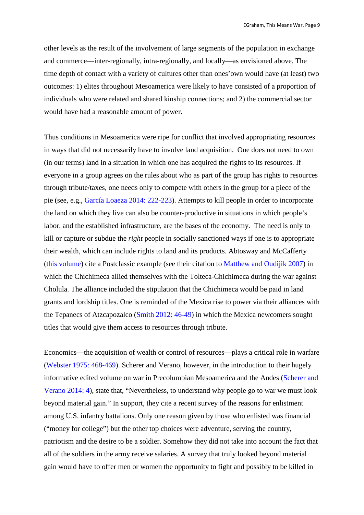other levels as the result of the involvement of large segments of the population in exchange and commerce—inter-regionally, intra-regionally, and locally—as envisioned above. The time depth of contact with a variety of cultures other than ones'own would have (at least) two outcomes: 1) elites throughout Mesoamerica were likely to have consisted of a proportion of individuals who were related and shared kinship connections; and 2) the commercial sector would have had a reasonable amount of power.

Thus conditions in Mesoamerica were ripe for conflict that involved appropriating resources in ways that did not necessarily have to involve land acquisition. One does not need to own (in our terms) land in a situation in which one has acquired the rights to its resources. If everyone in a group agrees on the rules about who as part of the group has rights to resources through tribute/taxes, one needs only to compete with others in the group for a piece of the pie (see, e.g., García Loaeza 2014: 222-223). Attempts to kill people in order to incorporate the land on which they live can also be counter-productive in situations in which people's labor, and the established infrastructure, are the bases of the economy. The need is only to kill or capture or subdue the *right* people in socially sanctioned ways if one is to appropriate their wealth, which can include rights to land and its products. Abtosway and McCafferty (this volume) cite a Postclassic example (see their citation to Matthew and Oudijik 2007) in which the Chichimeca allied themselves with the Tolteca-Chichimeca during the war against Cholula. The alliance included the stipulation that the Chichimeca would be paid in land grants and lordship titles. One is reminded of the Mexica rise to power via their alliances with the Tepanecs of Atzcapozalco (Smith 2012: 46-49) in which the Mexica newcomers sought titles that would give them access to resources through tribute.

Economics—the acquisition of wealth or control of resources—plays a critical role in warfare (Webster 1975: 468-469). Scherer and Verano, however, in the introduction to their hugely informative edited volume on war in Precolumbian Mesoamerica and the Andes (Scherer and Verano 2014: 4), state that, "Nevertheless, to understand why people go to war we must look beyond material gain." In support, they cite a recent survey of the reasons for enlistment among U.S. infantry battalions. Only one reason given by those who enlisted was financial ("money for college") but the other top choices were adventure, serving the country, patriotism and the desire to be a soldier. Somehow they did not take into account the fact that all of the soldiers in the army receive salaries. A survey that truly looked beyond material gain would have to offer men or women the opportunity to fight and possibly to be killed in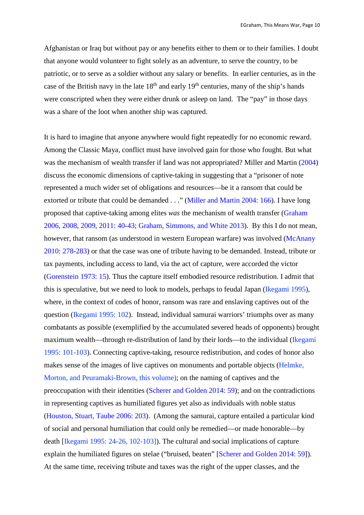Afghanistan or Iraq but without pay or any benefits either to them or to their families. I doubt that anyone would volunteer to fight solely as an adventure, to serve the country, to be patriotic, or to serve as a soldier without any salary or benefits. In earlier centuries, as in the case of the British navy in the late  $18<sup>th</sup>$  and early  $19<sup>th</sup>$  centuries, many of the ship's hands were conscripted when they were either drunk or asleep on land. The "pay" in those days was a share of the loot when another ship was captured.

It is hard to imagine that anyone anywhere would fight repeatedly for no economic reward. Among the Classic Maya, conflict must have involved gain for those who fought. But what was the mechanism of wealth transfer if land was not appropriated? Miller and Martin (2004) discuss the economic dimensions of captive-taking in suggesting that a "prisoner of note represented a much wider set of obligations and resources—be it a ransom that could be extorted or tribute that could be demanded . . ." (Miller and Martin 2004: 166). I have long proposed that captive-taking among elites *was* the mechanism of wealth transfer (Graham 2006, 2008, 2009, 2011: 40-43; Graham, Simmons, and White 2013). By this I do not mean, however, that ransom (as understood in western European warfare) was involved (McAnany 2010: 278-283) or that the case was one of tribute having to be demanded. Instead, tribute or tax payments, including access to land, via the act of capture, were accorded the victor (Gorenstein 1973: 15). Thus the capture itself embodied resource redistribution. I admit that this is speculative, but we need to look to models, perhaps to feudal Japan (Ikegami 1995), where, in the context of codes of honor, ransom was rare and enslaving captives out of the question (Ikegami 1995: 102). Instead, individual samurai warriors' triumphs over as many combatants as possible (exemplified by the accumulated severed heads of opponents) brought maximum wealth—through re-distribution of land by their lords—to the individual (Ikegami 1995: 101-103). Connecting captive-taking, resource redistribution, and codes of honor also makes sense of the images of live captives on monuments and portable objects (Helmke, Morton, and Peuramaki-Brown, this volume); on the naming of captives and the preoccupation with their identities (Scherer and Golden 2014: 59); and on the contradictions in representing captives as humiliated figures yet also as individuals with noble status (Houston, Stuart, Taube 2006: 203). (Among the samurai, capture entailed a particular kind of social and personal humiliation that could only be remedied—or made honorable—by death [Ikegami 1995: 24-26, 102-103]). The cultural and social implications of capture explain the humiliated figures on stelae ("bruised, beaten" [Scherer and Golden 2014: 59]). At the same time, receiving tribute and taxes was the right of the upper classes, and the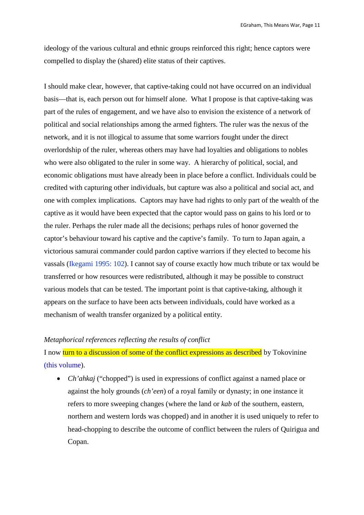ideology of the various cultural and ethnic groups reinforced this right; hence captors were compelled to display the (shared) elite status of their captives.

I should make clear, however, that captive-taking could not have occurred on an individual basis—that is, each person out for himself alone. What I propose is that captive-taking was part of the rules of engagement, and we have also to envision the existence of a network of political and social relationships among the armed fighters. The ruler was the nexus of the network, and it is not illogical to assume that some warriors fought under the direct overlordship of the ruler, whereas others may have had loyalties and obligations to nobles who were also obligated to the ruler in some way. A hierarchy of political, social, and economic obligations must have already been in place before a conflict. Individuals could be credited with capturing other individuals, but capture was also a political and social act, and one with complex implications. Captors may have had rights to only part of the wealth of the captive as it would have been expected that the captor would pass on gains to his lord or to the ruler. Perhaps the ruler made all the decisions; perhaps rules of honor governed the captor's behaviour toward his captive and the captive's family. To turn to Japan again, a victorious samurai commander could pardon captive warriors if they elected to become his vassals (Ikegami 1995: 102). I cannot say of course exactly how much tribute or tax would be transferred or how resources were redistributed, although it may be possible to construct various models that can be tested. The important point is that captive-taking, although it appears on the surface to have been acts between individuals, could have worked as a mechanism of wealth transfer organized by a political entity.

## *Metaphorical references reflecting the results of conflict*

I now turn to a discussion of some of the conflict expressions as described by Tokovinine (this volume).

 *Ch'ahkaj* ("chopped") is used in expressions of conflict against a named place or against the holy grounds (*ch'een*) of a royal family or dynasty; in one instance it refers to more sweeping changes (where the land or *kab* of the southern, eastern, northern and western lords was chopped) and in another it is used uniquely to refer to head-chopping to describe the outcome of conflict between the rulers of Quirigua and Copan.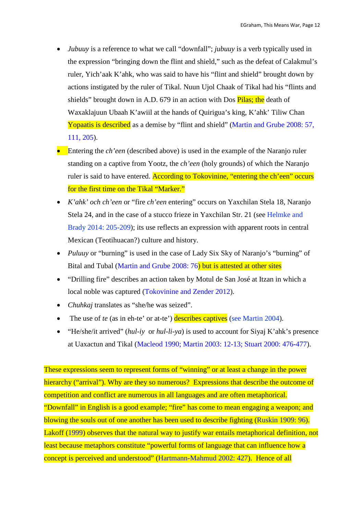- *Jubuuy* is a reference to what we call "downfall"; *jubuuy* is a verb typically used in the expression "bringing down the flint and shield," such as the defeat of Calakmul's ruler, Yich'aak K'ahk, who was said to have his "flint and shield" brought down by actions instigated by the ruler of Tikal. Nuun Ujol Chaak of Tikal had his "flints and shields" brought down in A.D. 679 in an action with Dos **Pilas; the** death of Waxaklajuun Ubaah K'awiil at the hands of Quirigua's king, K'ahk' Tiliw Chan Yopaatis is described as a demise by "flint and shield" (Martin and Grube 2008: 57, 111, 205).
- Entering the *ch'een* (described above) is used in the example of the Naranjo ruler standing on a captive from Yootz, the *ch'een* (holy grounds) of which the Naranjo ruler is said to have entered. According to Tokovinine, "entering the ch'een" occurs for the first time on the Tikal "Marker."
- *K'ahk' och ch'een* or "fire *ch'een* entering" occurs on Yaxchilan Stela 18, Naranjo Stela 24, and in the case of a stucco frieze in Yaxchilan Str. 21 (see Helmke and Brady 2014: 205-209); its use reflects an expression with apparent roots in central Mexican (Teotihuacan?) culture and history.
- *Puluuy* or "burning" is used in the case of Lady Six Sky of Naranjo's "burning" of Bital and Tubal (Martin and Grube 2008: 76) but is attested at other sites
- "Drilling fire" describes an action taken by Motul de San José at Itzan in which a local noble was captured (Tokovinine and Zender 2012).
- *Chuhkaj* translates as "she/he was seized".
- The use of *te* (as in eh-te' or at-te') describes captives (see Martin 2004).
- "He/she/it arrived" (*hul-iy* or *hul-li-ya*) is used to account for Siyaj K'ahk's presence at Uaxactun and Tikal (Macleod 1990; Martin 2003: 12-13; Stuart 2000: 476-477).

These expressions seem to represent forms of "winning" or at least a change in the power hierarchy ("arrival"). Why are they so numerous? Expressions that describe the outcome of competition and conflict are numerous in all languages and are often metaphorical. "Downfall" in English is a good example; "fire" has come to mean engaging a weapon; and blowing the souls out of one another has been used to describe fighting (Ruskin 1909: 96). Lakoff (1999) observes that the natural way to justify war entails metaphorical definition, not least because metaphors constitute "powerful forms of language that can influence how a concept is perceived and understood" (Hartmann-Mahmud 2002: 427). Hence of all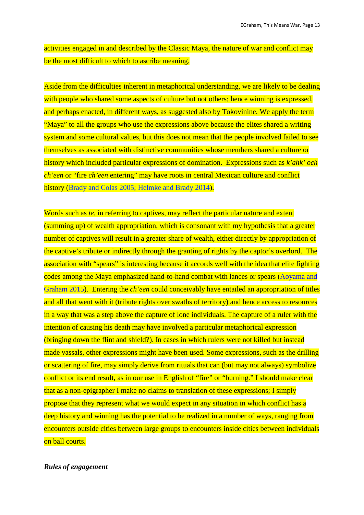activities engaged in and described by the Classic Maya, the nature of war and conflict may be the most difficult to which to ascribe meaning.

Aside from the difficulties inherent in metaphorical understanding, we are likely to be dealing with people who shared some aspects of culture but not others; hence winning is expressed, and perhaps enacted, in different ways, as suggested also by Tokovinine. We apply the term "Maya" to all the groups who use the expressions above because the elites shared a writing system and some cultural values, but this does not mean that the people involved failed to see themselves as associated with distinctive communities whose members shared a culture or history which included particular expressions of domination. Expressions such as *k'ahk' och ch'een* or "fire *ch'een* entering" may have roots in central Mexican culture and conflict history (Brady and Colas 2005; Helmke and Brady 2014).

Words such as *te*, in referring to captives, may reflect the particular nature and extent (summing up) of wealth appropriation, which is consonant with my hypothesis that a greater number of captives will result in a greater share of wealth, either directly by appropriation of the captive's tribute or indirectly through the granting of rights by the captor's overlord. The association with "spears" is interesting because it accords well with the idea that elite fighting codes among the Maya emphasized hand-to-hand combat with lances or spears (Aoyama and Graham 2015). Entering the *ch'een* could conceivably have entailed an appropriation of titles and all that went with it (tribute rights over swaths of territory) and hence access to resources in a way that was a step above the capture of lone individuals. The capture of a ruler with the intention of causing his death may have involved a particular metaphorical expression (bringing down the flint and shield?). In cases in which rulers were not killed but instead made vassals, other expressions might have been used. Some expressions, such as the drilling or scattering of fire, may simply derive from rituals that can (but may not always) symbolize conflict or its end result, as in our use in English of "fire" or "burning." I should make clear that as a non-epigrapher I make no claims to translation of these expressions; I simply propose that they represent what we would expect in any situation in which conflict has a deep history and winning has the potential to be realized in a number of ways, ranging from encounters outside cities between large groups to encounters inside cities between individuals on ball courts.

### *Rules of engagement*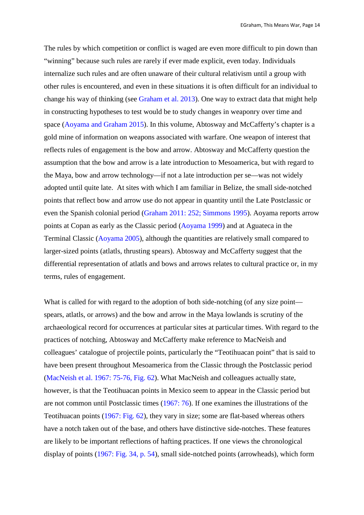The rules by which competition or conflict is waged are even more difficult to pin down than "winning" because such rules are rarely if ever made explicit, even today. Individuals internalize such rules and are often unaware of their cultural relativism until a group with other rules is encountered, and even in these situations it is often difficult for an individual to change his way of thinking (see Graham et al. 2013). One way to extract data that might help in constructing hypotheses to test would be to study changes in weaponry over time and space (Aoyama and Graham 2015). In this volume, Abtosway and McCafferty's chapter is a gold mine of information on weapons associated with warfare. One weapon of interest that reflects rules of engagement is the bow and arrow. Abtosway and McCafferty question the assumption that the bow and arrow is a late introduction to Mesoamerica, but with regard to the Maya, bow and arrow technology—if not a late introduction per se—was not widely adopted until quite late. At sites with which I am familiar in Belize, the small side-notched points that reflect bow and arrow use do not appear in quantity until the Late Postclassic or even the Spanish colonial period (Graham 2011: 252; Simmons 1995). Aoyama reports arrow points at Copan as early as the Classic period (Aoyama 1999) and at Aguateca in the Terminal Classic (Aoyama 2005), although the quantities are relatively small compared to larger-sized points (atlatls, thrusting spears). Abtosway and McCafferty suggest that the differential representation of atlatls and bows and arrows relates to cultural practice or, in my terms, rules of engagement.

What is called for with regard to the adoption of both side-notching (of any size point spears, atlatls, or arrows) and the bow and arrow in the Maya lowlands is scrutiny of the archaeological record for occurrences at particular sites at particular times. With regard to the practices of notching, Abtosway and McCafferty make reference to MacNeish and colleagues' catalogue of projectile points, particularly the "Teotihuacan point" that is said to have been present throughout Mesoamerica from the Classic through the Postclassic period (MacNeish et al. 1967: 75-76, Fig. 62). What MacNeish and colleagues actually state, however, is that the Teotihuacan points in Mexico seem to appear in the Classic period but are not common until Postclassic times (1967: 76). If one examines the illustrations of the Teotihuacan points (1967: Fig. 62), they vary in size; some are flat-based whereas others have a notch taken out of the base, and others have distinctive side-notches. These features are likely to be important reflections of hafting practices. If one views the chronological display of points (1967: Fig. 34, p. 54), small side-notched points (arrowheads), which form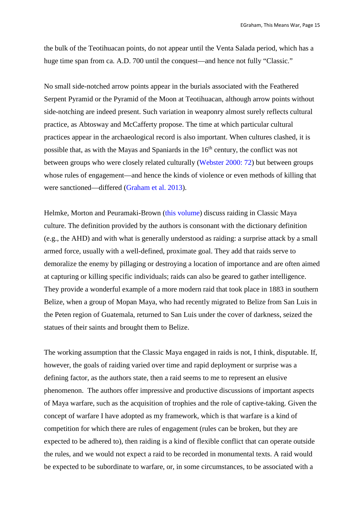the bulk of the Teotihuacan points, do not appear until the Venta Salada period, which has a huge time span from ca. A.D. 700 until the conquest—and hence not fully "Classic."

No small side-notched arrow points appear in the burials associated with the Feathered Serpent Pyramid or the Pyramid of the Moon at Teotihuacan, although arrow points without side-notching are indeed present. Such variation in weaponry almost surely reflects cultural practice, as Abtosway and McCafferty propose. The time at which particular cultural practices appear in the archaeological record is also important. When cultures clashed, it is possible that, as with the Mayas and Spaniards in the 16<sup>th</sup> century, the conflict was not between groups who were closely related culturally (Webster 2000: 72) but between groups whose rules of engagement—and hence the kinds of violence or even methods of killing that were sanctioned—differed (Graham et al. 2013).

Helmke, Morton and Peuramaki-Brown (this volume) discuss raiding in Classic Maya culture. The definition provided by the authors is consonant with the dictionary definition (e.g., the AHD) and with what is generally understood as raiding: a surprise attack by a small armed force, usually with a well-defined, proximate goal. They add that raids serve to demoralize the enemy by pillaging or destroying a location of importance and are often aimed at capturing or killing specific individuals; raids can also be geared to gather intelligence. They provide a wonderful example of a more modern raid that took place in 1883 in southern Belize, when a group of Mopan Maya, who had recently migrated to Belize from San Luis in the Peten region of Guatemala, returned to San Luis under the cover of darkness, seized the statues of their saints and brought them to Belize.

The working assumption that the Classic Maya engaged in raids is not, I think, disputable. If, however, the goals of raiding varied over time and rapid deployment or surprise was a defining factor, as the authors state, then a raid seems to me to represent an elusive phenomenon. The authors offer impressive and productive discussions of important aspects of Maya warfare, such as the acquisition of trophies and the role of captive-taking. Given the concept of warfare I have adopted as my framework, which is that warfare is a kind of competition for which there are rules of engagement (rules can be broken, but they are expected to be adhered to), then raiding is a kind of flexible conflict that can operate outside the rules, and we would not expect a raid to be recorded in monumental texts. A raid would be expected to be subordinate to warfare, or, in some circumstances, to be associated with a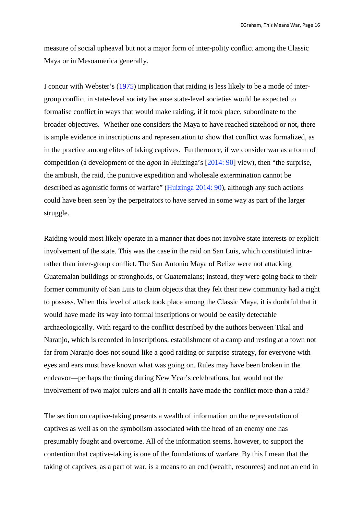measure of social upheaval but not a major form of inter-polity conflict among the Classic Maya or in Mesoamerica generally.

I concur with Webster's (1975) implication that raiding is less likely to be a mode of intergroup conflict in state-level society because state-level societies would be expected to formalise conflict in ways that would make raiding, if it took place, subordinate to the broader objectives. Whether one considers the Maya to have reached statehood or not, there is ample evidence in inscriptions and representation to show that conflict was formalized, as in the practice among elites of taking captives. Furthermore, if we consider war as a form of competition (a development of the *agon* in Huizinga's [2014: 90] view), then "the surprise, the ambush, the raid, the punitive expedition and wholesale extermination cannot be described as agonistic forms of warfare" (Huizinga 2014: 90), although any such actions could have been seen by the perpetrators to have served in some way as part of the larger struggle.

Raiding would most likely operate in a manner that does not involve state interests or explicit involvement of the state. This was the case in the raid on San Luis, which constituted intrarather than inter-group conflict. The San Antonio Maya of Belize were not attacking Guatemalan buildings or strongholds, or Guatemalans; instead, they were going back to their former community of San Luis to claim objects that they felt their new community had a right to possess. When this level of attack took place among the Classic Maya, it is doubtful that it would have made its way into formal inscriptions or would be easily detectable archaeologically. With regard to the conflict described by the authors between Tikal and Naranjo, which is recorded in inscriptions, establishment of a camp and resting at a town not far from Naranjo does not sound like a good raiding or surprise strategy, for everyone with eyes and ears must have known what was going on. Rules may have been broken in the endeavor—perhaps the timing during New Year's celebrations, but would not the involvement of two major rulers and all it entails have made the conflict more than a raid?

The section on captive-taking presents a wealth of information on the representation of captives as well as on the symbolism associated with the head of an enemy one has presumably fought and overcome. All of the information seems, however, to support the contention that captive-taking is one of the foundations of warfare. By this I mean that the taking of captives, as a part of war, is a means to an end (wealth, resources) and not an end in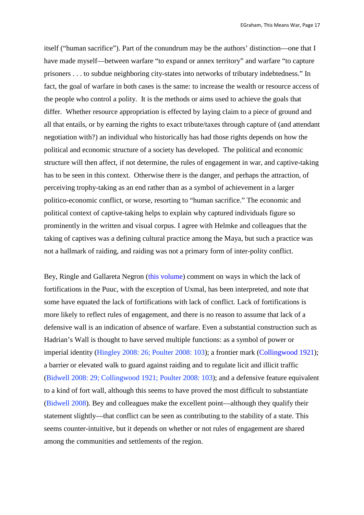itself ("human sacrifice"). Part of the conundrum may be the authors' distinction—one that I have made myself—between warfare "to expand or annex territory" and warfare "to capture prisoners . . . to subdue neighboring city-states into networks of tributary indebtedness." In fact, the goal of warfare in both cases is the same: to increase the wealth or resource access of the people who control a polity. It is the methods or aims used to achieve the goals that differ. Whether resource appropriation is effected by laying claim to a piece of ground and all that entails, or by earning the rights to exact tribute/taxes through capture of (and attendant negotiation with?) an individual who historically has had those rights depends on how the political and economic structure of a society has developed. The political and economic structure will then affect, if not determine, the rules of engagement in war, and captive-taking has to be seen in this context. Otherwise there is the danger, and perhaps the attraction, of perceiving trophy-taking as an end rather than as a symbol of achievement in a larger politico-economic conflict, or worse, resorting to "human sacrifice." The economic and political context of captive-taking helps to explain why captured individuals figure so prominently in the written and visual corpus. I agree with Helmke and colleagues that the taking of captives was a defining cultural practice among the Maya, but such a practice was not a hallmark of raiding, and raiding was not a primary form of inter-polity conflict.

Bey, Ringle and Gallareta Negron (this volume) comment on ways in which the lack of fortifications in the Puuc, with the exception of Uxmal, has been interpreted, and note that some have equated the lack of fortifications with lack of conflict. Lack of fortifications is more likely to reflect rules of engagement, and there is no reason to assume that lack of a defensive wall is an indication of absence of warfare. Even a substantial construction such as Hadrian's Wall is thought to have served multiple functions: as a symbol of power or imperial identity (Hingley 2008: 26; Poulter 2008: 103); a frontier mark (Collingwood 1921); a barrier or elevated walk to guard against raiding and to regulate licit and illicit traffic (Bidwell 2008: 29; Collingwood 1921; Poulter 2008: 103); and a defensive feature equivalent to a kind of fort wall, although this seems to have proved the most difficult to substantiate (Bidwell 2008). Bey and colleagues make the excellent point—although they qualify their statement slightly—that conflict can be seen as contributing to the stability of a state. This seems counter-intuitive, but it depends on whether or not rules of engagement are shared among the communities and settlements of the region.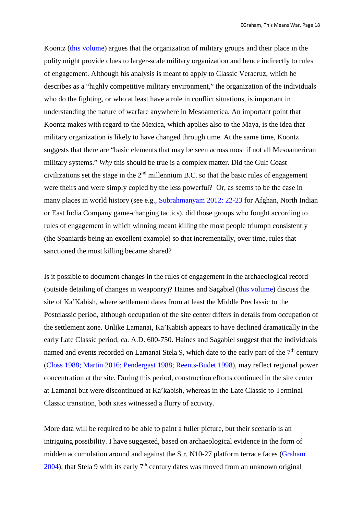Koontz (this volume) argues that the organization of military groups and their place in the polity might provide clues to larger-scale military organization and hence indirectly to rules of engagement. Although his analysis is meant to apply to Classic Veracruz, which he describes as a "highly competitive military environment," the organization of the individuals who do the fighting, or who at least have a role in conflict situations, is important in understanding the nature of warfare anywhere in Mesoamerica. An important point that Koontz makes with regard to the Mexica, which applies also to the Maya, is the idea that military organization is likely to have changed through time. At the same time, Koontz suggests that there are "basic elements that may be seen across most if not all Mesoamerican military systems." *Why* this should be true is a complex matter. Did the Gulf Coast civilizations set the stage in the  $2<sup>nd</sup>$  millennium B.C. so that the basic rules of engagement were theirs and were simply copied by the less powerful? Or, as seems to be the case in many places in world history (see e.g., Subrahmanyam 2012: 22-23 for Afghan, North Indian or East India Company game-changing tactics), did those groups who fought according to rules of engagement in which winning meant killing the most people triumph consistently (the Spaniards being an excellent example) so that incrementally, over time, rules that sanctioned the most killing became shared?

Is it possible to document changes in the rules of engagement in the archaeological record (outside detailing of changes in weaponry)? Haines and Sagabiel (this volume) discuss the site of Ka'Kabish, where settlement dates from at least the Middle Preclassic to the Postclassic period, although occupation of the site center differs in details from occupation of the settlement zone. Unlike Lamanai, Ka'Kabish appears to have declined dramatically in the early Late Classic period, ca. A.D. 600-750. Haines and Sagabiel suggest that the individuals named and events recorded on Lamanai Stela 9, which date to the early part of the  $7<sup>th</sup>$  century (Closs 1988; Martin 2016; Pendergast 1988; Reents-Budet 1998), may reflect regional power concentration at the site. During this period, construction efforts continued in the site center at Lamanai but were discontinued at Ka'kabish, whereas in the Late Classic to Terminal Classic transition, both sites witnessed a flurry of activity.

More data will be required to be able to paint a fuller picture, but their scenario is an intriguing possibility. I have suggested, based on archaeological evidence in the form of midden accumulation around and against the Str. N10-27 platform terrace faces (Graham 2004), that Stela 9 with its early  $7<sup>th</sup>$  century dates was moved from an unknown original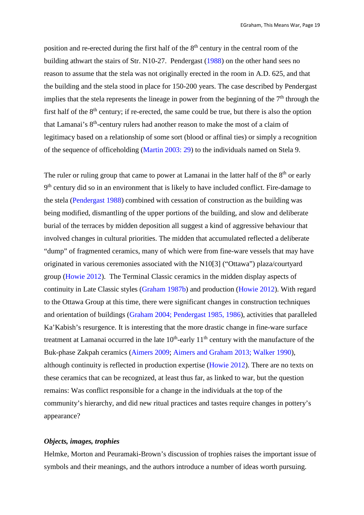position and re-erected during the first half of the 8<sup>th</sup> century in the central room of the building athwart the stairs of Str. N10-27. Pendergast (1988) on the other hand sees no reason to assume that the stela was not originally erected in the room in A.D. 625, and that the building and the stela stood in place for 150-200 years. The case described by Pendergast implies that the stela represents the lineage in power from the beginning of the  $7<sup>th</sup>$  through the first half of the 8<sup>th</sup> century; if re-erected, the same could be true, but there is also the option that Lamanai's 8<sup>th</sup>-century rulers had another reason to make the most of a claim of legitimacy based on a relationship of some sort (blood or affinal ties) or simply a recognition of the sequence of officeholding (Martin 2003: 29) to the individuals named on Stela 9.

The ruler or ruling group that came to power at Lamanai in the latter half of the  $8<sup>th</sup>$  or early 9<sup>th</sup> century did so in an environment that is likely to have included conflict. Fire-damage to the stela (Pendergast 1988) combined with cessation of construction as the building was being modified, dismantling of the upper portions of the building, and slow and deliberate burial of the terraces by midden deposition all suggest a kind of aggressive behaviour that involved changes in cultural priorities. The midden that accumulated reflected a deliberate "dump" of fragmented ceramics, many of which were from fine-ware vessels that may have originated in various ceremonies associated with the N10[3] ("Ottawa") plaza/courtyard group (Howie 2012). The Terminal Classic ceramics in the midden display aspects of continuity in Late Classic styles (Graham 1987b) and production (Howie 2012). With regard to the Ottawa Group at this time, there were significant changes in construction techniques and orientation of buildings (Graham 2004; Pendergast 1985, 1986), activities that paralleled Ka'Kabish's resurgence. It is interesting that the more drastic change in fine-ware surface treatment at Lamanai occurred in the late  $10<sup>th</sup>$ -early  $11<sup>th</sup>$  century with the manufacture of the Buk-phase Zakpah ceramics (Aimers 2009; Aimers and Graham 2013; Walker 1990), although continuity is reflected in production expertise (Howie 2012). There are no texts on these ceramics that can be recognized, at least thus far, as linked to war, but the question remains: Was conflict responsible for a change in the individuals at the top of the community's hierarchy, and did new ritual practices and tastes require changes in pottery's appearance?

## *Objects, images, trophies*

Helmke, Morton and Peuramaki-Brown's discussion of trophies raises the important issue of symbols and their meanings, and the authors introduce a number of ideas worth pursuing.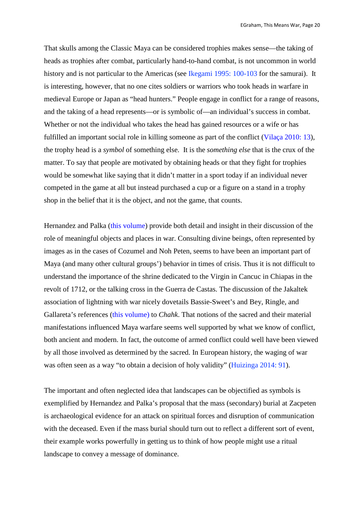That skulls among the Classic Maya can be considered trophies makes sense—the taking of heads as trophies after combat, particularly hand-to-hand combat, is not uncommon in world history and is not particular to the Americas (see Ikegami 1995: 100-103 for the samurai). It is interesting, however, that no one cites soldiers or warriors who took heads in warfare in medieval Europe or Japan as "head hunters." People engage in conflict for a range of reasons, and the taking of a head represents—or is symbolic of—an individual's success in combat. Whether or not the individual who takes the head has gained resources or a wife or has fulfilled an important social role in killing someone as part of the conflict (Vilaça 2010: 13), the trophy head is a *symbol* of something else. It is the *something else* that is the crux of the matter. To say that people are motivated by obtaining heads or that they fight for trophies would be somewhat like saying that it didn't matter in a sport today if an individual never competed in the game at all but instead purchased a cup or a figure on a stand in a trophy shop in the belief that it is the object, and not the game, that counts.

Hernandez and Palka (this volume) provide both detail and insight in their discussion of the role of meaningful objects and places in war. Consulting divine beings, often represented by images as in the cases of Cozumel and Noh Peten, seems to have been an important part of Maya (and many other cultural groups') behavior in times of crisis. Thus it is not difficult to understand the importance of the shrine dedicated to the Virgin in Cancuc in Chiapas in the revolt of 1712, or the talking cross in the Guerra de Castas. The discussion of the Jakaltek association of lightning with war nicely dovetails Bassie-Sweet's and Bey, Ringle, and Gallareta's references (this volume) to *Chahk*. That notions of the sacred and their material manifestations influenced Maya warfare seems well supported by what we know of conflict, both ancient and modern. In fact, the outcome of armed conflict could well have been viewed by all those involved as determined by the sacred. In European history, the waging of war was often seen as a way "to obtain a decision of holy validity" (Huizinga 2014: 91).

The important and often neglected idea that landscapes can be objectified as symbols is exemplified by Hernandez and Palka's proposal that the mass (secondary) burial at Zacpeten is archaeological evidence for an attack on spiritual forces and disruption of communication with the deceased. Even if the mass burial should turn out to reflect a different sort of event, their example works powerfully in getting us to think of how people might use a ritual landscape to convey a message of dominance.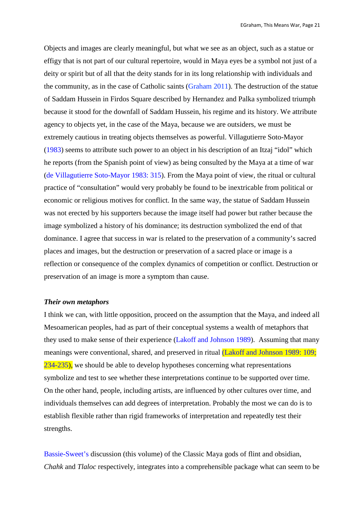Objects and images are clearly meaningful, but what we see as an object, such as a statue or effigy that is not part of our cultural repertoire, would in Maya eyes be a symbol not just of a deity or spirit but of all that the deity stands for in its long relationship with individuals and the community, as in the case of Catholic saints (Graham 2011). The destruction of the statue of Saddam Hussein in Firdos Square described by Hernandez and Palka symbolized triumph because it stood for the downfall of Saddam Hussein, his regime and its history. We attribute agency to objects yet, in the case of the Maya, because we are outsiders, we must be extremely cautious in treating objects themselves as powerful. Villagutierre Soto-Mayor (1983) seems to attribute such power to an object in his description of an Itzaj "idol" which he reports (from the Spanish point of view) as being consulted by the Maya at a time of war (de Villagutierre Soto-Mayor 1983: 315). From the Maya point of view, the ritual or cultural practice of "consultation" would very probably be found to be inextricable from political or economic or religious motives for conflict. In the same way, the statue of Saddam Hussein was not erected by his supporters because the image itself had power but rather because the image symbolized a history of his dominance; its destruction symbolized the end of that dominance. I agree that success in war is related to the preservation of a community's sacred places and images, but the destruction or preservation of a sacred place or image is a reflection or consequence of the complex dynamics of competition or conflict. Destruction or preservation of an image is more a symptom than cause.

## *Their own metaphors*

I think we can, with little opposition, proceed on the assumption that the Maya, and indeed all Mesoamerican peoples, had as part of their conceptual systems a wealth of metaphors that they used to make sense of their experience (Lakoff and Johnson 1989). Assuming that many meanings were conventional, shared, and preserved in ritual (Lakoff and Johnson 1989: 109; 234-235), we should be able to develop hypotheses concerning what representations symbolize and test to see whether these interpretations continue to be supported over time. On the other hand, people, including artists, are influenced by other cultures over time, and individuals themselves can add degrees of interpretation. Probably the most we can do is to establish flexible rather than rigid frameworks of interpretation and repeatedly test their strengths.

Bassie-Sweet's discussion (this volume) of the Classic Maya gods of flint and obsidian, *Chahk* and *Tlaloc* respectively, integrates into a comprehensible package what can seem to be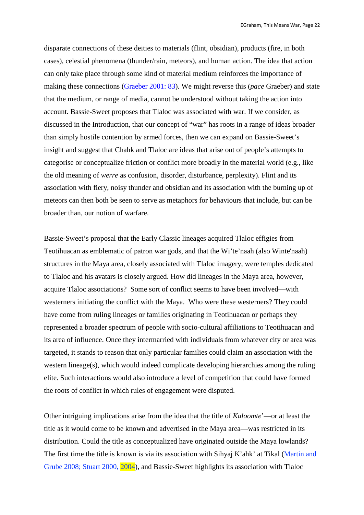disparate connections of these deities to materials (flint, obsidian), products (fire, in both cases), celestial phenomena (thunder/rain, meteors), and human action. The idea that action can only take place through some kind of material medium reinforces the importance of making these connections (Graeber 2001: 83). We might reverse this (*pace* Graeber) and state that the medium, or range of media, cannot be understood without taking the action into account. Bassie-Sweet proposes that Tlaloc was associated with war. If we consider, as discussed in the Introduction, that our concept of "war" has roots in a range of ideas broader than simply hostile contention by armed forces, then we can expand on Bassie-Sweet's insight and suggest that Chahk and Tlaloc are ideas that arise out of people's attempts to categorise or conceptualize friction or conflict more broadly in the material world (e.g., like the old meaning of *werre* as confusion, disorder, disturbance, perplexity). Flint and its association with fiery, noisy thunder and obsidian and its association with the burning up of meteors can then both be seen to serve as metaphors for behaviours that include, but can be broader than, our notion of warfare.

Bassie-Sweet's proposal that the Early Classic lineages acquired Tlaloc effigies from Teotihuacan as emblematic of patron war gods, and that the Wi'te'naah (also Winte'naah) structures in the Maya area, closely associated with Tlaloc imagery, were temples dedicated to Tlaloc and his avatars is closely argued. How did lineages in the Maya area, however, acquire Tlaloc associations? Some sort of conflict seems to have been involved—with westerners initiating the conflict with the Maya. Who were these westerners? They could have come from ruling lineages or families originating in Teotihuacan or perhaps they represented a broader spectrum of people with socio-cultural affiliations to Teotihuacan and its area of influence. Once they intermarried with individuals from whatever city or area was targeted, it stands to reason that only particular families could claim an association with the western lineage(s), which would indeed complicate developing hierarchies among the ruling elite. Such interactions would also introduce a level of competition that could have formed the roots of conflict in which rules of engagement were disputed.

Other intriguing implications arise from the idea that the title of *Kaloomte*'—or at least the title as it would come to be known and advertised in the Maya area—was restricted in its distribution. Could the title as conceptualized have originated outside the Maya lowlands? The first time the title is known is via its association with Sihyaj K'ahk' at Tikal (Martin and Grube 2008; Stuart 2000, 2004), and Bassie-Sweet highlights its association with Tlaloc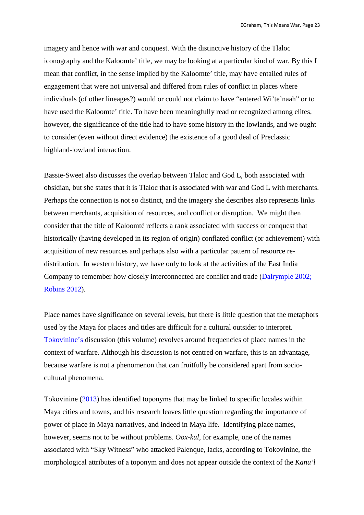imagery and hence with war and conquest. With the distinctive history of the Tlaloc iconography and the Kaloomte' title, we may be looking at a particular kind of war. By this I mean that conflict, in the sense implied by the Kaloomte' title, may have entailed rules of engagement that were not universal and differed from rules of conflict in places where individuals (of other lineages?) would or could not claim to have "entered Wi'te'naah" or to have used the Kaloomte' title. To have been meaningfully read or recognized among elites, however, the significance of the title had to have some history in the lowlands, and we ought to consider (even without direct evidence) the existence of a good deal of Preclassic highland-lowland interaction.

Bassie-Sweet also discusses the overlap between Tlaloc and God L, both associated with obsidian, but she states that it is Tlaloc that is associated with war and God L with merchants. Perhaps the connection is not so distinct, and the imagery she describes also represents links between merchants, acquisition of resources, and conflict or disruption. We might then consider that the title of Kaloomté reflects a rank associated with success or conquest that historically (having developed in its region of origin) conflated conflict (or achievement) with acquisition of new resources and perhaps also with a particular pattern of resource redistribution. In western history, we have only to look at the activities of the East India Company to remember how closely interconnected are conflict and trade (Dalrymple 2002; Robins 2012).

Place names have significance on several levels, but there is little question that the metaphors used by the Maya for places and titles are difficult for a cultural outsider to interpret. Tokovinine's discussion (this volume) revolves around frequencies of place names in the context of warfare. Although his discussion is not centred on warfare, this is an advantage, because warfare is not a phenomenon that can fruitfully be considered apart from sociocultural phenomena.

Tokovinine (2013) has identified toponyms that may be linked to specific locales within Maya cities and towns, and his research leaves little question regarding the importance of power of place in Maya narratives, and indeed in Maya life. Identifying place names, however, seems not to be without problems. *Oox-kul*, for example, one of the names associated with "Sky Witness" who attacked Palenque, lacks, according to Tokovinine, the morphological attributes of a toponym and does not appear outside the context of the *Kanu'l*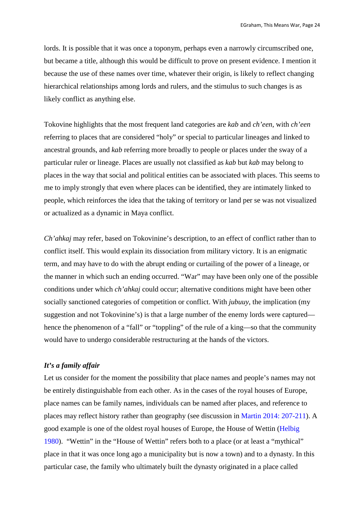lords. It is possible that it was once a toponym, perhaps even a narrowly circumscribed one, but became a title, although this would be difficult to prove on present evidence. I mention it because the use of these names over time, whatever their origin, is likely to reflect changing hierarchical relationships among lords and rulers, and the stimulus to such changes is as likely conflict as anything else.

Tokovine highlights that the most frequent land categories are *kab* and *ch'een*, with *ch'een*  referring to places that are considered "holy" or special to particular lineages and linked to ancestral grounds, and *kab* referring more broadly to people or places under the sway of a particular ruler or lineage. Places are usually not classified as *kab* but *kab* may belong to places in the way that social and political entities can be associated with places. This seems to me to imply strongly that even where places can be identified, they are intimately linked to people, which reinforces the idea that the taking of territory or land per se was not visualized or actualized as a dynamic in Maya conflict.

*Ch'ahkaj* may refer, based on Tokovinine's description, to an effect of conflict rather than to conflict itself. This would explain its dissociation from military victory. It is an enigmatic term, and may have to do with the abrupt ending or curtailing of the power of a lineage, or the manner in which such an ending occurred. "War" may have been only one of the possible conditions under which *ch'ahkaj* could occur; alternative conditions might have been other socially sanctioned categories of competition or conflict. With *jubuuy*, the implication (my suggestion and not Tokovinine's) is that a large number of the enemy lords were captured hence the phenomenon of a "fall" or "toppling" of the rule of a king—so that the community would have to undergo considerable restructuring at the hands of the victors.

#### *It's a family affair*

Let us consider for the moment the possibility that place names and people's names may not be entirely distinguishable from each other. As in the cases of the royal houses of Europe, place names can be family names, individuals can be named after places, and reference to places may reflect history rather than geography (see discussion in Martin 2014: 207-211). A good example is one of the oldest royal houses of Europe, the House of Wettin (Helbig 1980). "Wettin" in the "House of Wettin" refers both to a place (or at least a "mythical" place in that it was once long ago a municipality but is now a town) and to a dynasty. In this particular case, the family who ultimately built the dynasty originated in a place called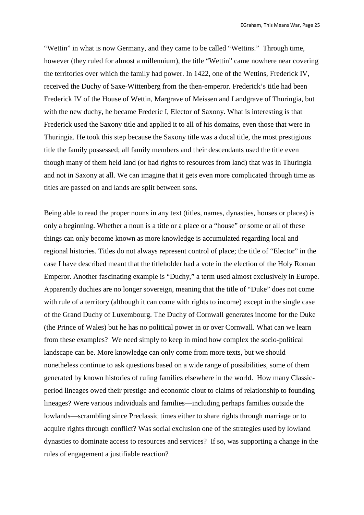"Wettin" in what is now Germany, and they came to be called "Wettins." Through time, however (they ruled for almost a millennium), the title "Wettin" came nowhere near covering the territories over which the family had power. In 1422, one of the Wettins, Frederick IV, received the Duchy of Saxe-Wittenberg from the then-emperor. Frederick's title had been Frederick IV of the House of Wettin, Margrave of Meissen and Landgrave of Thuringia, but with the new duchy, he became Frederic I, Elector of Saxony. What is interesting is that Frederick used the Saxony title and applied it to all of his domains, even those that were in Thuringia. He took this step because the Saxony title was a ducal title, the most prestigious title the family possessed; all family members and their descendants used the title even though many of them held land (or had rights to resources from land) that was in Thuringia and not in Saxony at all. We can imagine that it gets even more complicated through time as titles are passed on and lands are split between sons.

Being able to read the proper nouns in any text (titles, names, dynasties, houses or places) is only a beginning. Whether a noun is a title or a place or a "house" or some or all of these things can only become known as more knowledge is accumulated regarding local and regional histories. Titles do not always represent control of place; the title of "Elector" in the case I have described meant that the titleholder had a vote in the election of the Holy Roman Emperor. Another fascinating example is "Duchy," a term used almost exclusively in Europe. Apparently duchies are no longer sovereign, meaning that the title of "Duke" does not come with rule of a territory (although it can come with rights to income) except in the single case of the Grand Duchy of Luxembourg. The Duchy of Cornwall generates income for the Duke (the Prince of Wales) but he has no political power in or over Cornwall. What can we learn from these examples? We need simply to keep in mind how complex the socio-political landscape can be. More knowledge can only come from more texts, but we should nonetheless continue to ask questions based on a wide range of possibilities, some of them generated by known histories of ruling families elsewhere in the world. How many Classicperiod lineages owed their prestige and economic clout to claims of relationship to founding lineages? Were various individuals and families—including perhaps families outside the lowlands—scrambling since Preclassic times either to share rights through marriage or to acquire rights through conflict? Was social exclusion one of the strategies used by lowland dynasties to dominate access to resources and services? If so, was supporting a change in the rules of engagement a justifiable reaction?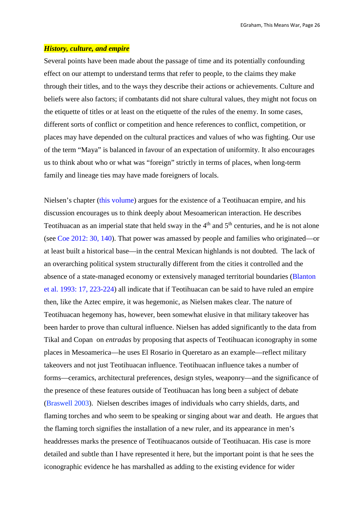#### *History, culture, and empire*

Several points have been made about the passage of time and its potentially confounding effect on our attempt to understand terms that refer to people, to the claims they make through their titles, and to the ways they describe their actions or achievements. Culture and beliefs were also factors; if combatants did not share cultural values, they might not focus on the etiquette of titles or at least on the etiquette of the rules of the enemy. In some cases, different sorts of conflict or competition and hence references to conflict, competition, or places may have depended on the cultural practices and values of who was fighting. Our use of the term "Maya" is balanced in favour of an expectation of uniformity. It also encourages us to think about who or what was "foreign" strictly in terms of places, when long-term family and lineage ties may have made foreigners of locals.

Nielsen's chapter (this volume) argues for the existence of a Teotihuacan empire, and his discussion encourages us to think deeply about Mesoamerican interaction. He describes Teotihuacan as an imperial state that held sway in the  $4<sup>th</sup>$  and  $5<sup>th</sup>$  centuries, and he is not alone (see Coe 2012: 30, 140). That power was amassed by people and families who originated—or at least built a historical base—in the central Mexican highlands is not doubted. The lack of an overarching political system structurally different from the cities it controlled and the absence of a state-managed economy or extensively managed territorial boundaries (Blanton et al. 1993: 17, 223-224) all indicate that if Teotihuacan can be said to have ruled an empire then, like the Aztec empire, it was hegemonic, as Nielsen makes clear. The nature of Teotihuacan hegemony has, however, been somewhat elusive in that military takeover has been harder to prove than cultural influence. Nielsen has added significantly to the data from Tikal and Copan on *entradas* by proposing that aspects of Teotihuacan iconography in some places in Mesoamerica—he uses El Rosario in Queretaro as an example—reflect military takeovers and not just Teotihuacan influence. Teotihuacan influence takes a number of forms—ceramics, architectural preferences, design styles, weaponry—and the significance of the presence of these features outside of Teotihuacan has long been a subject of debate (Braswell 2003). Nielsen describes images of individuals who carry shields, darts, and flaming torches and who seem to be speaking or singing about war and death. He argues that the flaming torch signifies the installation of a new ruler, and its appearance in men's headdresses marks the presence of Teotihuacanos outside of Teotihuacan. His case is more detailed and subtle than I have represented it here, but the important point is that he sees the iconographic evidence he has marshalled as adding to the existing evidence for wider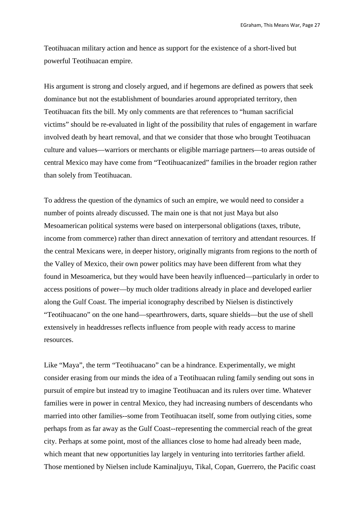Teotihuacan military action and hence as support for the existence of a short-lived but powerful Teotihuacan empire.

His argument is strong and closely argued, and if hegemons are defined as powers that seek dominance but not the establishment of boundaries around appropriated territory, then Teotihuacan fits the bill. My only comments are that references to "human sacrificial victims" should be re-evaluated in light of the possibility that rules of engagement in warfare involved death by heart removal, and that we consider that those who brought Teotihuacan culture and values—warriors or merchants or eligible marriage partners—to areas outside of central Mexico may have come from "Teotihuacanized" families in the broader region rather than solely from Teotihuacan.

To address the question of the dynamics of such an empire, we would need to consider a number of points already discussed. The main one is that not just Maya but also Mesoamerican political systems were based on interpersonal obligations (taxes, tribute, income from commerce) rather than direct annexation of territory and attendant resources. If the central Mexicans were, in deeper history, originally migrants from regions to the north of the Valley of Mexico, their own power politics may have been different from what they found in Mesoamerica, but they would have been heavily influenced—particularly in order to access positions of power—by much older traditions already in place and developed earlier along the Gulf Coast. The imperial iconography described by Nielsen is distinctively "Teotihuacano" on the one hand—spearthrowers, darts, square shields—but the use of shell extensively in headdresses reflects influence from people with ready access to marine resources.

Like "Maya", the term "Teotihuacano" can be a hindrance. Experimentally, we might consider erasing from our minds the idea of a Teotihuacan ruling family sending out sons in pursuit of empire but instead try to imagine Teotihuacan and its rulers over time. Whatever families were in power in central Mexico, they had increasing numbers of descendants who married into other families--some from Teotihuacan itself, some from outlying cities, some perhaps from as far away as the Gulf Coast--representing the commercial reach of the great city. Perhaps at some point, most of the alliances close to home had already been made, which meant that new opportunities lay largely in venturing into territories farther afield. Those mentioned by Nielsen include Kaminaljuyu, Tikal, Copan, Guerrero, the Pacific coast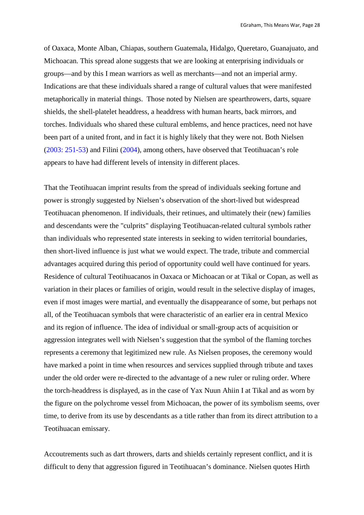of Oaxaca, Monte Alban, Chiapas, southern Guatemala, Hidalgo, Queretaro, Guanajuato, and Michoacan. This spread alone suggests that we are looking at enterprising individuals or groups—and by this I mean warriors as well as merchants—and not an imperial army. Indications are that these individuals shared a range of cultural values that were manifested metaphorically in material things. Those noted by Nielsen are spearthrowers, darts, square shields, the shell-platelet headdress, a headdress with human hearts, back mirrors, and torches. Individuals who shared these cultural emblems, and hence practices, need not have been part of a united front, and in fact it is highly likely that they were not. Both Nielsen (2003: 251-53) and Filini (2004), among others, have observed that Teotihuacan's role appears to have had different levels of intensity in different places.

That the Teotihuacan imprint results from the spread of individuals seeking fortune and power is strongly suggested by Nielsen's observation of the short-lived but widespread Teotihuacan phenomenon. If individuals, their retinues, and ultimately their (new) families and descendants were the "culprits" displaying Teotihuacan-related cultural symbols rather than individuals who represented state interests in seeking to widen territorial boundaries, then short-lived influence is just what we would expect. The trade, tribute and commercial advantages acquired during this period of opportunity could well have continued for years. Residence of cultural Teotihuacanos in Oaxaca or Michoacan or at Tikal or Copan, as well as variation in their places or families of origin, would result in the selective display of images, even if most images were martial, and eventually the disappearance of some, but perhaps not all, of the Teotihuacan symbols that were characteristic of an earlier era in central Mexico and its region of influence. The idea of individual or small-group acts of acquisition or aggression integrates well with Nielsen's suggestion that the symbol of the flaming torches represents a ceremony that legitimized new rule. As Nielsen proposes, the ceremony would have marked a point in time when resources and services supplied through tribute and taxes under the old order were re-directed to the advantage of a new ruler or ruling order. Where the torch-headdress is displayed, as in the case of Yax Nuun Ahiin I at Tikal and as worn by the figure on the polychrome vessel from Michoacan, the power of its symbolism seems, over time, to derive from its use by descendants as a title rather than from its direct attribution to a Teotihuacan emissary.

Accoutrements such as dart throwers, darts and shields certainly represent conflict, and it is difficult to deny that aggression figured in Teotihuacan's dominance. Nielsen quotes Hirth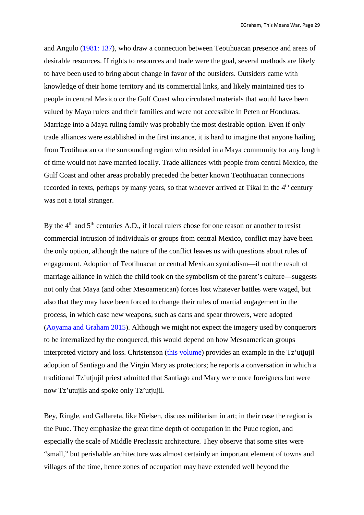and Angulo (1981: 137), who draw a connection between Teotihuacan presence and areas of desirable resources. If rights to resources and trade were the goal, several methods are likely to have been used to bring about change in favor of the outsiders. Outsiders came with knowledge of their home territory and its commercial links, and likely maintained ties to people in central Mexico or the Gulf Coast who circulated materials that would have been valued by Maya rulers and their families and were not accessible in Peten or Honduras. Marriage into a Maya ruling family was probably the most desirable option. Even if only trade alliances were established in the first instance, it is hard to imagine that anyone hailing from Teotihuacan or the surrounding region who resided in a Maya community for any length of time would not have married locally. Trade alliances with people from central Mexico, the Gulf Coast and other areas probably preceded the better known Teotihuacan connections recorded in texts, perhaps by many years, so that whoever arrived at Tikal in the  $4<sup>th</sup>$  century was not a total stranger.

By the 4<sup>th</sup> and 5<sup>th</sup> centuries A.D., if local rulers chose for one reason or another to resist commercial intrusion of individuals or groups from central Mexico, conflict may have been the only option, although the nature of the conflict leaves us with questions about rules of engagement. Adoption of Teotihuacan or central Mexican symbolism—if not the result of marriage alliance in which the child took on the symbolism of the parent's culture—suggests not only that Maya (and other Mesoamerican) forces lost whatever battles were waged, but also that they may have been forced to change their rules of martial engagement in the process, in which case new weapons, such as darts and spear throwers, were adopted (Aoyama and Graham 2015). Although we might not expect the imagery used by conquerors to be internalized by the conquered, this would depend on how Mesoamerican groups interpreted victory and loss. Christenson (this volume) provides an example in the Tz'utjujil adoption of Santiago and the Virgin Mary as protectors; he reports a conversation in which a traditional Tz'utjujil priest admitted that Santiago and Mary were once foreigners but were now Tz'utujils and spoke only Tz'utjujil.

Bey, Ringle, and Gallareta, like Nielsen, discuss militarism in art; in their case the region is the Puuc. They emphasize the great time depth of occupation in the Puuc region, and especially the scale of Middle Preclassic architecture. They observe that some sites were "small," but perishable architecture was almost certainly an important element of towns and villages of the time, hence zones of occupation may have extended well beyond the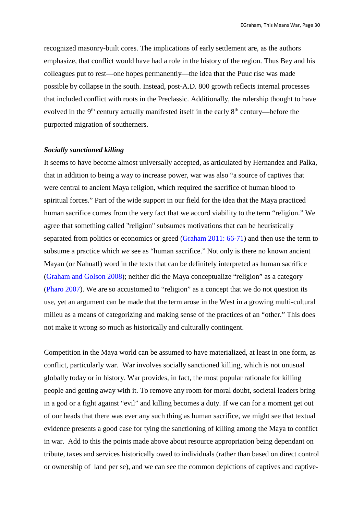recognized masonry-built cores. The implications of early settlement are, as the authors emphasize, that conflict would have had a role in the history of the region. Thus Bey and his colleagues put to rest—one hopes permanently—the idea that the Puuc rise was made possible by collapse in the south. Instead, post-A.D. 800 growth reflects internal processes that included conflict with roots in the Preclassic. Additionally, the rulership thought to have evolved in the 9<sup>th</sup> century actually manifested itself in the early 8<sup>th</sup> century—before the purported migration of southerners.

#### *Socially sanctioned killing*

It seems to have become almost universally accepted, as articulated by Hernandez and Palka, that in addition to being a way to increase power, war was also "a source of captives that were central to ancient Maya religion, which required the sacrifice of human blood to spiritual forces." Part of the wide support in our field for the idea that the Maya practiced human sacrifice comes from the very fact that we accord viability to the term "religion." We agree that something called "religion" subsumes motivations that can be heuristically separated from politics or economics or greed (Graham 2011: 66-71) and then use the term to subsume a practice which *we* see as "human sacrifice." Not only is there no known ancient Mayan (or Nahuatl) word in the texts that can be definitely interpreted as human sacrifice (Graham and Golson 2008); neither did the Maya conceptualize "religion" as a category (Pharo 2007). We are so accustomed to "religion" as a concept that we do not question its use, yet an argument can be made that the term arose in the West in a growing multi-cultural milieu as a means of categorizing and making sense of the practices of an "other." This does not make it wrong so much as historically and culturally contingent.

Competition in the Maya world can be assumed to have materialized, at least in one form, as conflict, particularly war. War involves socially sanctioned killing, which is not unusual globally today or in history. War provides, in fact, the most popular rationale for killing people and getting away with it. To remove any room for moral doubt, societal leaders bring in a god or a fight against "evil" and killing becomes a duty. If we can for a moment get out of our heads that there was ever any such thing as human sacrifice, we might see that textual evidence presents a good case for tying the sanctioning of killing among the Maya to conflict in war. Add to this the points made above about resource appropriation being dependant on tribute, taxes and services historically owed to individuals (rather than based on direct control or ownership of land per se), and we can see the common depictions of captives and captive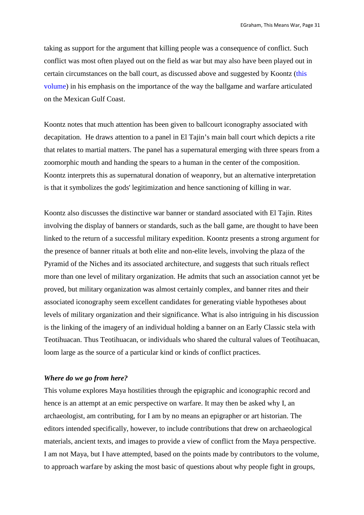taking as support for the argument that killing people was a consequence of conflict. Such conflict was most often played out on the field as war but may also have been played out in certain circumstances on the ball court, as discussed above and suggested by Koontz (this volume) in his emphasis on the importance of the way the ballgame and warfare articulated on the Mexican Gulf Coast.

Koontz notes that much attention has been given to ballcourt iconography associated with decapitation. He draws attention to a panel in El Tajin's main ball court which depicts a rite that relates to martial matters. The panel has a supernatural emerging with three spears from a zoomorphic mouth and handing the spears to a human in the center of the composition. Koontz interprets this as supernatural donation of weaponry, but an alternative interpretation is that it symbolizes the gods' legitimization and hence sanctioning of killing in war.

Koontz also discusses the distinctive war banner or standard associated with El Tajin. Rites involving the display of banners or standards, such as the ball game, are thought to have been linked to the return of a successful military expedition. Koontz presents a strong argument for the presence of banner rituals at both elite and non-elite levels, involving the plaza of the Pyramid of the Niches and its associated architecture, and suggests that such rituals reflect more than one level of military organization. He admits that such an association cannot yet be proved, but military organization was almost certainly complex, and banner rites and their associated iconography seem excellent candidates for generating viable hypotheses about levels of military organization and their significance. What is also intriguing in his discussion is the linking of the imagery of an individual holding a banner on an Early Classic stela with Teotihuacan. Thus Teotihuacan, or individuals who shared the cultural values of Teotihuacan, loom large as the source of a particular kind or kinds of conflict practices.

## *Where do we go from here?*

This volume explores Maya hostilities through the epigraphic and iconographic record and hence is an attempt at an emic perspective on warfare. It may then be asked why I, an archaeologist, am contributing, for I am by no means an epigrapher or art historian. The editors intended specifically, however, to include contributions that drew on archaeological materials, ancient texts, and images to provide a view of conflict from the Maya perspective. I am not Maya, but I have attempted, based on the points made by contributors to the volume, to approach warfare by asking the most basic of questions about why people fight in groups,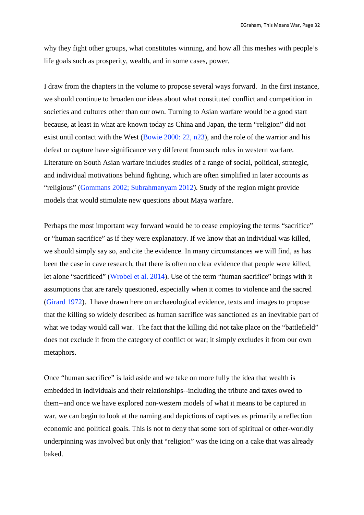why they fight other groups, what constitutes winning, and how all this meshes with people's life goals such as prosperity, wealth, and in some cases, power.

I draw from the chapters in the volume to propose several ways forward. In the first instance, we should continue to broaden our ideas about what constituted conflict and competition in societies and cultures other than our own. Turning to Asian warfare would be a good start because, at least in what are known today as China and Japan, the term "religion" did not exist until contact with the West (Bowie 2000: 22, n23), and the role of the warrior and his defeat or capture have significance very different from such roles in western warfare. Literature on South Asian warfare includes studies of a range of social, political, strategic, and individual motivations behind fighting, which are often simplified in later accounts as "religious" (Gommans 2002; Subrahmanyam 2012). Study of the region might provide models that would stimulate new questions about Maya warfare.

Perhaps the most important way forward would be to cease employing the terms "sacrifice" or "human sacrifice" as if they were explanatory. If we know that an individual was killed, we should simply say so, and cite the evidence. In many circumstances we will find, as has been the case in cave research, that there is often no clear evidence that people were killed, let alone "sacrificed" (Wrobel et al. 2014). Use of the term "human sacrifice" brings with it assumptions that are rarely questioned, especially when it comes to violence and the sacred (Girard 1972). I have drawn here on archaeological evidence, texts and images to propose that the killing so widely described as human sacrifice was sanctioned as an inevitable part of what we today would call war. The fact that the killing did not take place on the "battlefield" does not exclude it from the category of conflict or war; it simply excludes it from our own metaphors.

Once "human sacrifice" is laid aside and we take on more fully the idea that wealth is embedded in individuals and their relationships--including the tribute and taxes owed to them--and once we have explored non-western models of what it means to be captured in war, we can begin to look at the naming and depictions of captives as primarily a reflection economic and political goals. This is not to deny that some sort of spiritual or other-worldly underpinning was involved but only that "religion" was the icing on a cake that was already baked.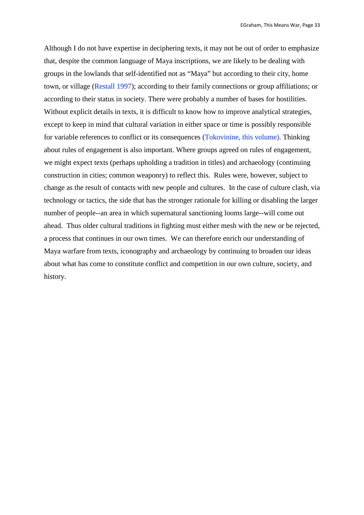Although I do not have expertise in deciphering texts, it may not be out of order to emphasize that, despite the common language of Maya inscriptions, we are likely to be dealing with groups in the lowlands that self-identified not as "Maya" but according to their city, home town, or village (Restall 1997); according to their family connections or group affiliations; or according to their status in society. There were probably a number of bases for hostilities. Without explicit details in texts, it is difficult to know how to improve analytical strategies, except to keep in mind that cultural variation in either space or time is possibly responsible for variable references to conflict or its consequences (Tokovinine, this volume). Thinking about rules of engagement is also important. Where groups agreed on rules of engagement, we might expect texts (perhaps upholding a tradition in titles) and archaeology (continuing construction in cities; common weaponry) to reflect this. Rules were, however, subject to change as the result of contacts with new people and cultures. In the case of culture clash, via technology or tactics, the side that has the stronger rationale for killing or disabling the larger number of people--an area in which supernatural sanctioning looms large--will come out ahead. Thus older cultural traditions in fighting must either mesh with the new or be rejected, a process that continues in our own times. We can therefore enrich our understanding of Maya warfare from texts, iconography and archaeology by continuing to broaden our ideas about what has come to constitute conflict and competition in our own culture, society, and history.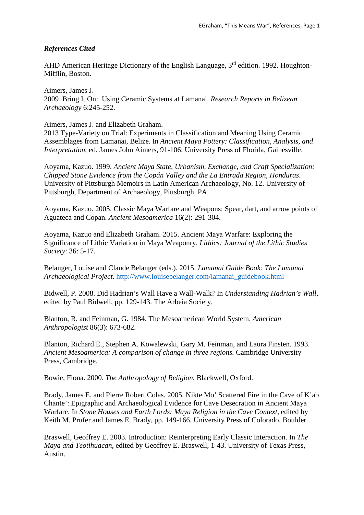# *References Cited*

AHD American Heritage Dictionary of the English Language, 3<sup>rd</sup> edition. 1992. Houghton-Mifflin, Boston.

Aimers, James J. 2009 Bring It On: Using Ceramic Systems at Lamanai. *Research Reports in Belizean Archaeology* 6:245-252.

Aimers, James J. and Elizabeth Graham.

2013 Type-Variety on Trial: Experiments in Classification and Meaning Using Ceramic Assemblages from Lamanai, Belize. In *Ancient Maya Pottery: Classification, Analysis, and Interpretation*, ed. James John Aimers, 91-106. University Press of Florida, Gainesville.

Aoyama, Kazuo. 1999. *Ancient Maya State, Urbanism, Exchange, and Craft Specialization: Chipped Stone Evidence from the Copán Valley and the La Entrada Region, Honduras*. University of Pittsburgh Memoirs in Latin American Archaeology, No. 12. University of Pittsburgh, Department of Archaeology, Pittsburgh, PA.

Aoyama, Kazuo. 2005. Classic Maya Warfare and Weapons: Spear, dart, and arrow points of Aguateca and Copan. *Ancient Mesoamerica* 16(2): 291-304.

Aoyama, Kazuo and Elizabeth Graham. 2015. Ancient Maya Warfare: Exploring the Significance of Lithic Variation in Maya Weaponry. *Lithics: Journal of the Lithic Studies Society*: 36: 5-17.

Belanger, Louise and Claude Belanger (eds.). 2015. *Lamanai Guide Book: The Lamanai Archaeological Project*. [http://www.louisebelanger.com/lamanai\\_guidebook.html](http://www.louisebelanger.com/lamanai_guidebook.html) 

Bidwell, P. 2008. Did Hadrian's Wall Have a Wall-Walk? In *Understanding Hadrian's Wall*, edited by Paul Bidwell, pp. 129-143. The Arbeia Society.

Blanton, R. and Feinman, G. 1984. The Mesoamerican World System. *American Anthropologist* 86(3): 673-682.

Blanton, Richard E., Stephen A. Kowalewski, Gary M. Feinman, and Laura Finsten. 1993. *Ancient Mesoamerica: A comparison of change in three regions.* Cambridge University Press, Cambridge.

Bowie, Fiona. 2000. *The Anthropology of Religion.* Blackwell, Oxford.

Brady, James E. and Pierre Robert Colas. 2005. Nikte Mo' Scattered Fire in the Cave of K'ab Chante': Epigraphic and Archaeological Evidence for Cave Desecration in Ancient Maya Warfare. In *Stone Houses and Earth Lords: Maya Religion in the Cave Context,* edited by Keith M. Prufer and James E. Brady, pp. 149-166. University Press of Colorado, Boulder.

Braswell, Geoffrey E. 2003. Introduction: Reinterpreting Early Classic Interaction. In *The Maya and Teotihuacan*, edited by Geoffrey E. Braswell, 1-43. University of Texas Press, Austin.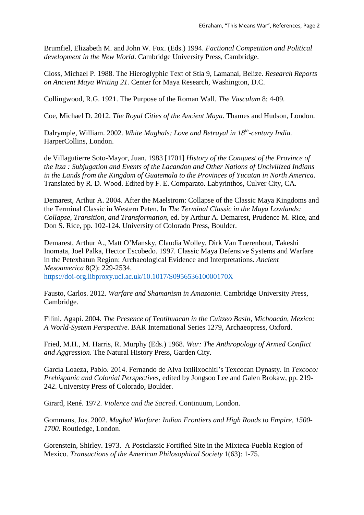Brumfiel, Elizabeth M. and John W. Fox. (Eds.) 1994. *Factional Competition and Political development in the New World*. Cambridge University Press, Cambridge.

Closs, Michael P. 1988. The Hieroglyphic Text of Stla 9, Lamanai, Belize. *Research Reports on Ancient Maya Writing 21.* Center for Maya Research, Washington, D.C.

Collingwood, R.G. 1921. The Purpose of the Roman Wall. *The Vasculum* 8: 4-09.

Coe, Michael D. 2012. *The Royal Cities of the Ancient Maya*. Thames and Hudson, London.

Dalrymple, William. 2002. *White Mughals: Love and Betrayal in 18th-century India.* HarperCollins, London.

de Villagutierre Soto-Mayor, Juan. 1983 [1701] *History of the Conquest of the Province of the Itza : Subjugation and Events of the Lacandon and Other Nations of Uncivilized Indians in the Lands from the Kingdom of Guatemala to the Provinces of Yucatan in North America*. Translated by R. D. Wood. Edited by F. E. Comparato. Labyrinthos, Culver City, CA.

Demarest, Arthur A. 2004. After the Maelstrom: Collapse of the Classic Maya Kingdoms and the Terminal Classic in Western Peten. In *The Terminal Classic in the Maya Lowlands: Collapse, Transition, and Transformation*, ed. by Arthur A. Demarest, Prudence M. Rice, and Don S. Rice, pp. 102-124. University of Colorado Press, Boulder.

Demarest, Arthur A., Matt O'Mansky, Claudia Wolley, Dirk Van Tuerenhout, Takeshi Inomata, Joel Palka, Hector Escobedo. 1997. Classic Maya Defensive Systems and Warfare in the Petexbatun Region: Archaeological Evidence and Interpretations. *Ancient Mesoamerica* 8(2): 229-2534.

<https://doi-org.libproxy.ucl.ac.uk/10.1017/S095653610000170X>

Fausto, Carlos. 2012. *Warfare and Shamanism in Amazonia*. Cambridge University Press, Cambridge.

Filini, Agapi. 2004. *The Presence of Teotihuacan in the Cuitzeo Basin, Michoacán, Mexico: A World-System Perspective.* BAR International Series 1279, Archaeopress, Oxford.

Fried, M.H., M. Harris, R. Murphy (Eds.) 1968. *War: The Anthropology of Armed Conflict and Aggression*. The Natural History Press, Garden City.

García Loaeza, Pablo. 2014. Fernando de Alva Ixtlilxochitl's Texcocan Dynasty. In *Texcoco: Prehispanic and Colonial Perspectives,* edited by Jongsoo Lee and Galen Brokaw, pp. 219- 242. University Press of Colorado, Boulder.

Girard, René. 1972. *Violence and the Sacred*. Continuum, London.

Gommans, Jos. 2002. *Mughal Warfare: Indian Frontiers and High Roads to Empire, 1500- 1700.* Routledge, London.

Gorenstein, Shirley. 1973. A Postclassic Fortified Site in the Mixteca-Puebla Region of Mexico. *Transactions of the American Philosophical Society* 1(63): 1-75.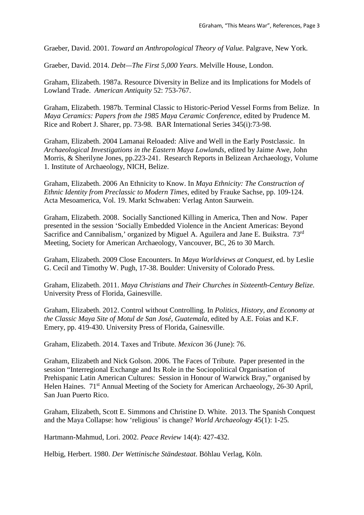Graeber, David. 2001. *Toward an Anthropological Theory of Value.* Palgrave, New York.

Graeber, David. 2014. *Debt—The First 5,000 Years*. Melville House, London.

Graham, Elizabeth. 1987a. Resource Diversity in Belize and its Implications for Models of Lowland Trade. *American Antiquity* 52: 753-767.

Graham, Elizabeth. 1987b. Terminal Classic to Historic-Period Vessel Forms from Belize. In *Maya Ceramics: Papers from the 1985 Maya Ceramic Conference*, edited by Prudence M. Rice and Robert J. Sharer, pp. 73-98. BAR International Series 345(i):73-98.

Graham, Elizabeth. 2004 Lamanai Reloaded: Alive and Well in the Early Postclassic. In *Archaeological Investigations in the Eastern Maya Lowlands*, edited by Jaime Awe, John Morris, & Sherilyne Jones, pp.223-241.Research Reports in Belizean Archaeology, Volume 1*.* Institute of Archaeology, NICH, Belize.

Graham, Elizabeth. 2006 An Ethnicity to Know. In *Maya Ethnicity: The Construction of Ethnic Identity from Preclassic to Modern Times*, edited by Frauke Sachse, pp. 109-124. Acta Mesoamerica, Vol. 19. Markt Schwaben: Verlag Anton Saurwein.

Graham, Elizabeth. 2008. Socially Sanctioned Killing in America, Then and Now. Paper presented in the session 'Socially Embedded Violence in the Ancient Americas: Beyond Sacrifice and Cannibalism,' organized by Miguel A. Aguilera and Jane E. Buikstra. 73rd Meeting, Society for American Archaeology, Vancouver, BC, 26 to 30 March.

Graham, Elizabeth. 2009 Close Encounters. In *Maya Worldviews at Conquest*, ed. by Leslie G. Cecil and Timothy W. Pugh, 17-38. Boulder: University of Colorado Press.

Graham, Elizabeth. 2011. *Maya Christians and Their Churches in Sixteenth-Century Belize*. University Press of Florida, Gainesville.

Graham, Elizabeth. 2012. Control without Controlling. In *Politics, History, and Economy at the Classic Maya Site of Motul de San José, Guatemala,* edited by A.E. Foias and K.F. Emery, pp. 419-430. University Press of Florida, Gainesville.

Graham, Elizabeth. 2014. Taxes and Tribute. *Mexicon* 36 (June): 76.

Graham, Elizabeth and Nick Golson. 2006. The Faces of Tribute. Paper presented in the session "Interregional Exchange and Its Role in the Sociopolitical Organisation of Prehispanic Latin American Cultures: Session in Honour of Warwick Bray," organised by Helen Haines. 71<sup>st</sup> Annual Meeting of the Society for American Archaeology, 26-30 April, San Juan Puerto Rico.

Graham, Elizabeth, Scott E. Simmons and Christine D. White. 2013. The Spanish Conquest and the Maya Collapse: how 'religious' is change? *World Archaeology* 45(1): 1-25*.*

Hartmann-Mahmud, Lori. 2002. *Peace Review* 14(4): 427-432.

Helbig, Herbert. 1980. *Der Wettinische Ständestaat*. Böhlau Verlag, Köln.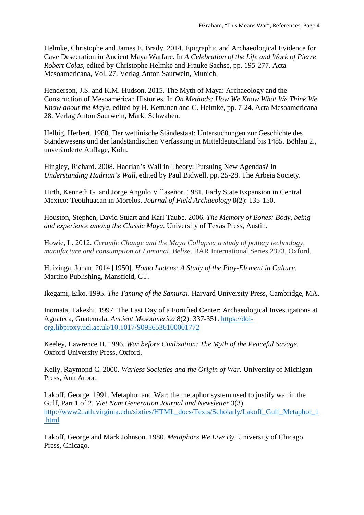Helmke, Christophe and James E. Brady. 2014. Epigraphic and Archaeological Evidence for Cave Desecration in Ancient Maya Warfare. In *A Celebration of the Life and Work of Pierre Robert Colas,* edited by Christophe Helmke and Frauke Sachse, pp. 195-277. Acta Mesoamericana, Vol. 27. Verlag Anton Saurwein, Munich.

Henderson, J.S. and K.M. Hudson. 2015. The Myth of Maya: Archaeology and the Construction of Mesoamerican Histories. In *On Methods: How We Know What We Think We Know about the Maya,* edited by H. Kettunen and C. Helmke, pp. 7-24. Acta Mesoamericana 28. Verlag Anton Saurwein, Markt Schwaben.

Helbig, Herbert. 1980. Der wettinische Ständestaat: Untersuchungen zur Geschichte des Ständewesens und der landständischen Verfassung in Mitteldeutschland bis 1485. Böhlau 2., unveränderte Auflage, Köln.

Hingley, Richard. 2008. Hadrian's Wall in Theory: Pursuing New Agendas? In *Understanding Hadrian's Wall,* edited by Paul Bidwell, pp. 25-28. The Arbeia Society.

Hirth, Kenneth G. and Jorge Angulo Villaseñor. 1981. Early State Expansion in Central Mexico: Teotihuacan in Morelos. *Journal of Field Archaeology* 8(2): 135-150.

Houston, Stephen, David Stuart and Karl Taube. 2006. *The Memory of Bones: Body, being and experience among the Classic Maya.* University of Texas Press, Austin.

Howie, L. 2012. *Ceramic Change and the Maya Collapse: a study of pottery technology, manufacture and consumption at Lamanai, Belize*. BAR International Series 2373, Oxford.

Huizinga, Johan. 2014 [1950]. *Homo Ludens: A Study of the Play-Element in Culture*. Martino Publishing, Mansfield, CT.

Ikegami, Eiko. 1995. *The Taming of the Samurai.* Harvard University Press, Cambridge, MA.

Inomata, Takeshi. 1997. The Last Day of a Fortified Center: Archaeological Investigations at Aguateca, Guatemala. *Ancient Mesoamerica* 8(2): 337-351. [https://doi](https://doi-org.libproxy.ucl.ac.uk/10.1017/S0956536100001772)[org.libproxy.ucl.ac.uk/10.1017/S0956536100001772](https://doi-org.libproxy.ucl.ac.uk/10.1017/S0956536100001772) 

Keeley, Lawrence H. 1996. *War before Civilization: The Myth of the Peaceful Savage*. Oxford University Press, Oxford.

Kelly, Raymond C. 2000. *Warless Societies and the Origin of War*. University of Michigan Press, Ann Arbor.

Lakoff, George. 1991. Metaphor and War: the metaphor system used to justify war in the Gulf, Part 1 of 2. *Viet Nam Generation Journal and Newsletter* 3(3). [http://www2.iath.virginia.edu/sixties/HTML\\_docs/Texts/Scholarly/Lakoff\\_Gulf\\_Metaphor\\_1](http://www2.iath.virginia.edu/sixties/HTML_docs/Texts/Scholarly/Lakoff_Gulf_Metaphor_1.html) [.html](http://www2.iath.virginia.edu/sixties/HTML_docs/Texts/Scholarly/Lakoff_Gulf_Metaphor_1.html) 

Lakoff, George and Mark Johnson. 1980. *Metaphors We Live By*. University of Chicago Press, Chicago.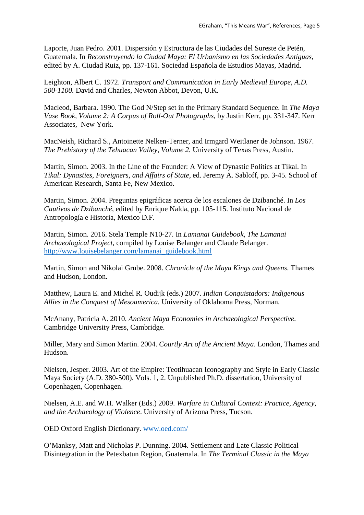Laporte, Juan Pedro. 2001. Dispersión y Estructura de las Ciudades del Sureste de Petén, Guatemala. In *Reconstruyendo la Ciudad Maya: El Urbanismo en las Sociedades Antiguas*, edited by A. Ciudad Ruiz, pp. 137-161. Sociedad Española de Estudios Mayas, Madrid.

Leighton, Albert C. 1972. *Transport and Communication in Early Medieval Europe, A.D. 500-1100.* David and Charles, Newton Abbot, Devon, U.K.

Macleod, Barbara. 1990. The God N/Step set in the Primary Standard Sequence. In *The Maya Vase Book, Volume 2: A Corpus of Roll-Out Photographs*, by Justin Kerr, pp. 331-347. Kerr Associates, New York.

MacNeish, Richard S., Antoinette Nelken-Terner, and Irmgard Weitlaner de Johnson. 1967. *The Prehistory of the Tehuacan Valley, Volume 2.* University of Texas Press, Austin.

Martin, Simon. 2003. In the Line of the Founder: A View of Dynastic Politics at Tikal. In *Tikal: Dynasties, Foreigners, and Affairs of State*, ed. Jeremy A. Sabloff, pp. 3-45. School of American Research, Santa Fe, New Mexico.

Martin, Simon. 2004. Preguntas epigráficas acerca de los escalones de Dzibanché. In *Los Cautivos de Dzibanché*, edited by Enrique Nalda, pp. 105-115. Instituto Nacional de Antropología e Historia, Mexico D.F.

Martin, Simon. 2016. Stela Temple N10-27. In *Lamanai Guidebook*, *The Lamanai Archaeological Project*, compiled by Louise Belanger and Claude Belanger. [http://www.louisebelanger.com/lamanai\\_guidebook.html](http://www.louisebelanger.com/lamanai_guidebook.html) 

Martin, Simon and Nikolai Grube. 2008. *Chronicle of the Maya Kings and Queens*. Thames and Hudson, London.

Matthew, Laura E. and Michel R. Oudijk (eds.) 2007. *Indian Conquistadors: Indigenous Allies in the Conquest of Mesoamerica*. University of Oklahoma Press, Norman.

McAnany, Patricia A. 2010. *Ancient Maya Economies in Archaeological Perspective*. Cambridge University Press, Cambridge.

Miller, Mary and Simon Martin. 2004. *Courtly Art of the Ancient Maya*. London, Thames and Hudson.

Nielsen, Jesper. 2003. Art of the Empire: Teotihuacan Iconography and Style in Early Classic Maya Society (A.D. 380-500). Vols. 1, 2. Unpublished Ph.D. dissertation, University of Copenhagen, Copenhagen.

Nielsen, A.E. and W.H. Walker (Eds.) 2009. *Warfare in Cultural Context: Practice, Agency, and the Archaeology of Violence*. University of Arizona Press, Tucson.

OED Oxford English Dictionary. [www.oed.com/](http://www.oed.com/)

O'Manksy, Matt and Nicholas P. Dunning. 2004. Settlement and Late Classic Political Disintegration in the Petexbatun Region, Guatemala. In *The Terminal Classic in the Maya*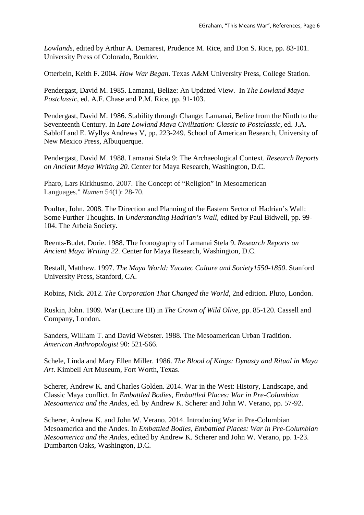*Lowlands,* edited by Arthur A. Demarest, Prudence M. Rice, and Don S. Rice, pp. 83-101. University Press of Colorado, Boulder.

Otterbein, Keith F. 2004. *How War Began*. Texas A&M University Press, College Station.

Pendergast, David M. 1985. Lamanai, Belize: An Updated View. In *The Lowland Maya Postclassic*, ed. A.F. Chase and P.M. Rice, pp. 91-103.

Pendergast, David M. 1986. Stability through Change: Lamanai, Belize from the Ninth to the Seventeenth Century. In *Late Lowland Maya Civilization: Classic to Postclassic*, ed. J.A. Sabloff and E. Wyllys Andrews V, pp. 223-249. School of American Research, University of New Mexico Press, Albuquerque.

Pendergast, David M. 1988. Lamanai Stela 9: The Archaeological Context. *Research Reports on Ancient Maya Writing 20.* Center for Maya Research, Washington, D.C.

Pharo, Lars Kirkhusmo. 2007. The Concept of "Religion" in Mesoamerican Languages." *Numen* 54(1): 28-70.

Poulter, John. 2008. The Direction and Planning of the Eastern Sector of Hadrian's Wall: Some Further Thoughts. In *Understanding Hadrian's Wall,* edited by Paul Bidwell, pp. 99- 104. The Arbeia Society.

Reents-Budet, Dorie. 1988. The Iconography of Lamanai Stela 9. *Research Reports on Ancient Maya Writing 22.* Center for Maya Research, Washington, D.C.

Restall, Matthew. 1997. *The Maya World: Yucatec Culture and Society1550-1850*. Stanford University Press, Stanford, CA.

Robins, Nick. 2012. *The Corporation That Changed the World,* 2nd edition. Pluto, London.

Ruskin, John. 1909. War (Lecture III) in *The Crown of Wild Olive*, pp. 85-120. Cassell and Company, London.

Sanders, William T. and David Webster. 1988. The Mesoamerican Urban Tradition. *American Anthropologist* 90: 521-566.

Schele, Linda and Mary Ellen Miller. 1986. *The Blood of Kings: Dynasty and Ritual in Maya Art*. Kimbell Art Museum, Fort Worth, Texas.

Scherer, Andrew K. and Charles Golden. 2014. War in the West: History, Landscape, and Classic Maya conflict. In *Embattled Bodies, Embattled Places: War in Pre-Columbian Mesoamerica and the Andes*, ed. by Andrew K. Scherer and John W. Verano, pp. 57-92.

Scherer, Andrew K. and John W. Verano. 2014. Introducing War in Pre-Columbian Mesoamerica and the Andes. In *Embattled Bodies, Embattled Places: War in Pre-Columbian Mesoamerica and the Andes*, edited by Andrew K. Scherer and John W. Verano, pp. 1-23. Dumbarton Oaks, Washington, D.C.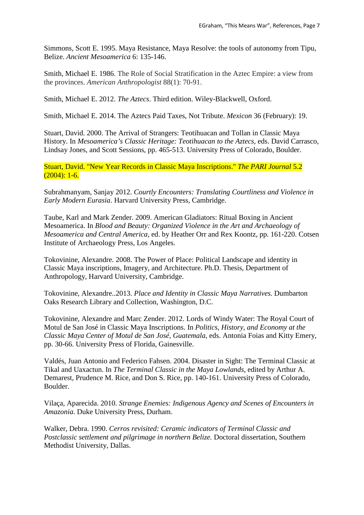Simmons, Scott E. 1995. Maya Resistance, Maya Resolve: the tools of autonomy from Tipu, Belize. *Ancient Mesoamerica* 6: 135-146.

Smith, Michael E. 1986. The Role of Social Stratification in the Aztec Empire: a view from the provinces. *American Anthropologist* 88(1): 70-91.

Smith, Michael E. 2012. *The Aztecs*. Third edition. Wiley-Blackwell, Oxford.

Smith, Michael E. 2014. The Aztecs Paid Taxes, Not Tribute. *Mexicon* 36 (February): 19.

Stuart, David. 2000. The Arrival of Strangers: Teotihuacan and Tollan in Classic Maya History. In *Mesoamerica's Classic Heritage: Teotihuacan to the Aztecs*, eds. David Carrasco, Lindsay Jones, and Scott Sessions, pp. 465-513. University Press of Colorado, Boulder.

Stuart, David. "New Year Records in Classic Maya Inscriptions." *The PARI Journal* 5.2  $(2004): 1-6.$ 

Subrahmanyam, Sanjay 2012. *Courtly Encounters: Translating Courtliness and Violence in Early Modern Eurasia*. Harvard University Press, Cambridge.

Taube, Karl and Mark Zender. 2009. American Gladiators: Ritual Boxing in Ancient Mesoamerica. In *Blood and Beauty: Organized Violence in the Art and Archaeology of Mesoamerica and Central America*, ed. by Heather Orr and Rex Koontz, pp. 161-220. Cotsen Institute of Archaeology Press, Los Angeles.

Tokovinine, Alexandre. 2008. The Power of Place: Political Landscape and identity in Classic Maya inscriptions, Imagery, and Architecture. Ph.D. Thesis, Department of Anthropology, Harvard University, Cambridge.

Tokovinine, Alexandre..2013. *Place and Identity in Classic Maya Narratives.* Dumbarton Oaks Research Library and Collection, Washington, D.C.

Tokovinine, Alexandre and Marc Zender. 2012. Lords of Windy Water: The Royal Court of Motul de San José in Classic Maya Inscriptions. In *Politics, History, and Economy at the Classic Maya Center of Motul de San José, Guatemala*, eds. Antonia Foias and Kitty Emery, pp. 30-66. University Press of Florida, Gainesville.

Valdés, Juan Antonio and Federico Fahsen. 2004. Disaster in Sight: The Terminal Classic at Tikal and Uaxactun. In *The Terminal Classic in the Maya Lowlands*, edited by Arthur A. Demarest, Prudence M. Rice, and Don S. Rice, pp. 140-161. University Press of Colorado, Boulder.

Vilaça, Aparecida. 2010. *Strange Enemies: Indigenous Agency and Scenes of Encounters in Amazonia*. Duke University Press, Durham.

Walker, Debra. 1990. *Cerros revisited: Ceramic indicators of Terminal Classic and Postclassic settlement and pilgrimage in northern Belize.* Doctoral dissertation, Southern Methodist University, Dallas.